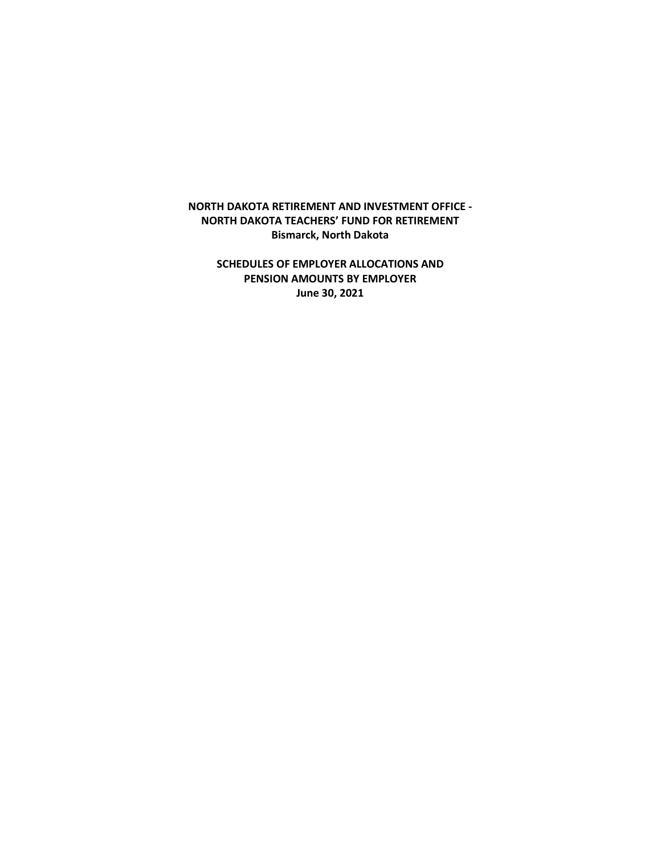## **NORTH DAKOTA RETIREMENT AND INVESTMENT OFFICE - NORTH DAKOTA TEACHERS' FUND FOR RETIREMENT Bismarck, North Dakota**

**SCHEDULES OF EMPLOYER ALLOCATIONS AND PENSION AMOUNTS BY EMPLOYER June 30, 2021**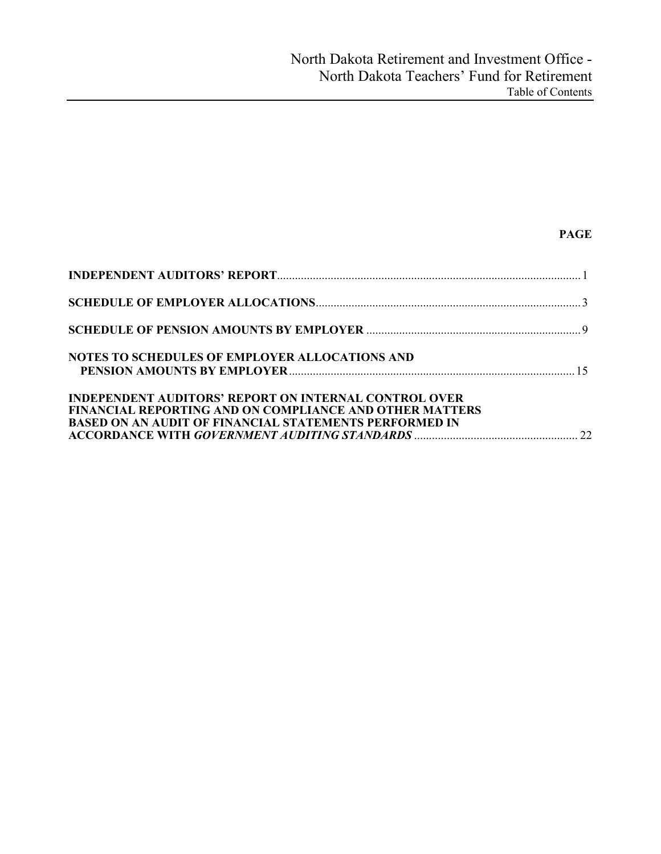# **PAGE**

| <b>NOTES TO SCHEDULES OF EMPLOYER ALLOCATIONS AND</b>                                                                                                                                           |  |
|-------------------------------------------------------------------------------------------------------------------------------------------------------------------------------------------------|--|
| <b>INDEPENDENT AUDITORS' REPORT ON INTERNAL CONTROL OVER</b><br><b>FINANCIAL REPORTING AND ON COMPLIANCE AND OTHER MATTERS</b><br><b>BASED ON AN AUDIT OF FINANCIAL STATEMENTS PERFORMED IN</b> |  |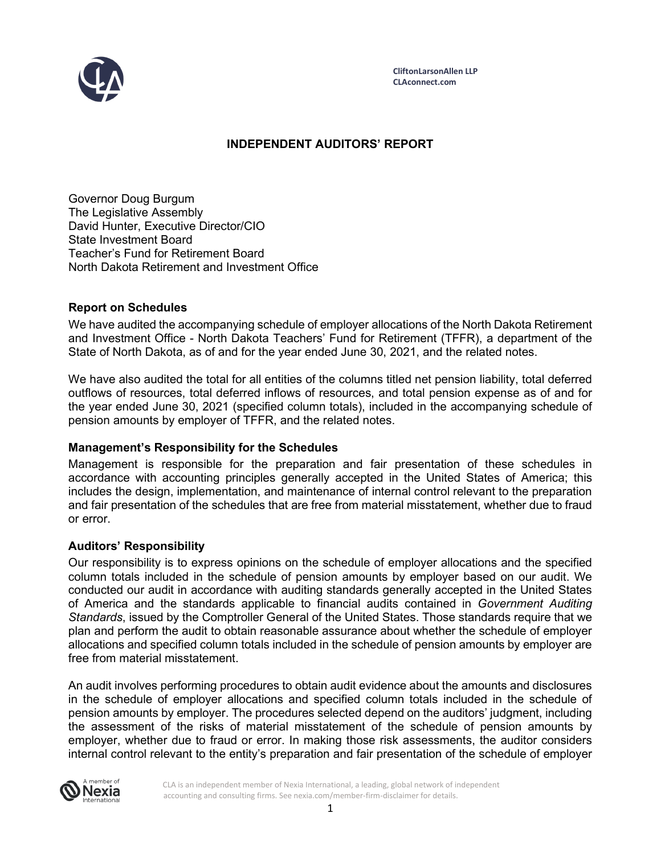

## **INDEPENDENT AUDITORS' REPORT**

Governor Doug Burgum The Legislative Assembly David Hunter, Executive Director/CIO State Investment Board Teacher's Fund for Retirement Board North Dakota Retirement and Investment Office

## **Report on Schedules**

We have audited the accompanying schedule of employer allocations of the North Dakota Retirement and Investment Office - North Dakota Teachers' Fund for Retirement (TFFR), a department of the State of North Dakota, as of and for the year ended June 30, 2021, and the related notes.

We have also audited the total for all entities of the columns titled net pension liability, total deferred outflows of resources, total deferred inflows of resources, and total pension expense as of and for the year ended June 30, 2021 (specified column totals), included in the accompanying schedule of pension amounts by employer of TFFR, and the related notes.

## **Management's Responsibility for the Schedules**

Management is responsible for the preparation and fair presentation of these schedules in accordance with accounting principles generally accepted in the United States of America; this includes the design, implementation, and maintenance of internal control relevant to the preparation and fair presentation of the schedules that are free from material misstatement, whether due to fraud or error.

## **Auditors' Responsibility**

Our responsibility is to express opinions on the schedule of employer allocations and the specified column totals included in the schedule of pension amounts by employer based on our audit. We conducted our audit in accordance with auditing standards generally accepted in the United States of America and the standards applicable to financial audits contained in *Government Auditing Standards*, issued by the Comptroller General of the United States. Those standards require that we plan and perform the audit to obtain reasonable assurance about whether the schedule of employer allocations and specified column totals included in the schedule of pension amounts by employer are free from material misstatement.

An audit involves performing procedures to obtain audit evidence about the amounts and disclosures in the schedule of employer allocations and specified column totals included in the schedule of pension amounts by employer. The procedures selected depend on the auditors' judgment, including the assessment of the risks of material misstatement of the schedule of pension amounts by employer, whether due to fraud or error. In making those risk assessments, the auditor considers internal control relevant to the entity's preparation and fair presentation of the schedule of employer

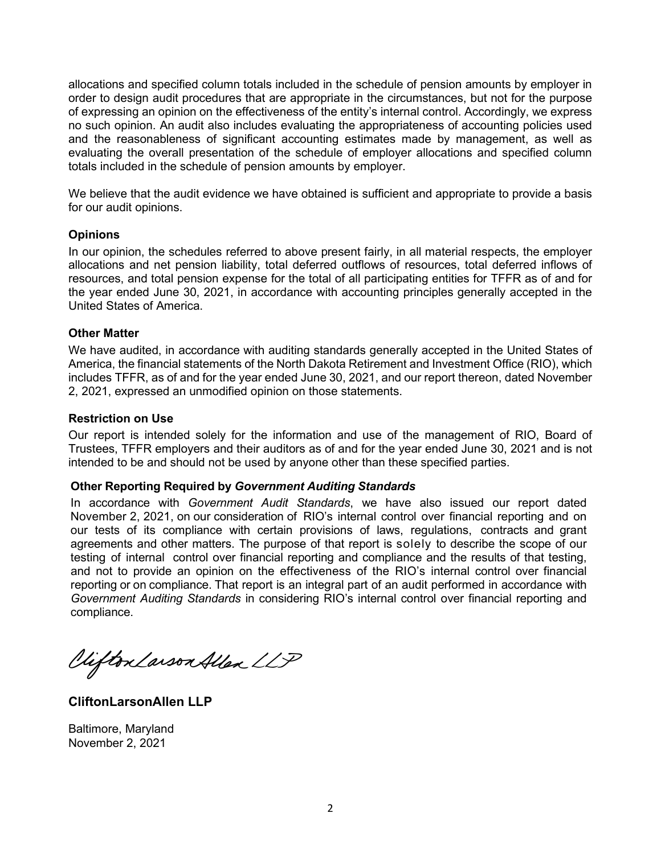allocations and specified column totals included in the schedule of pension amounts by employer in order to design audit procedures that are appropriate in the circumstances, but not for the purpose of expressing an opinion on the effectiveness of the entity's internal control. Accordingly, we express no such opinion. An audit also includes evaluating the appropriateness of accounting policies used and the reasonableness of significant accounting estimates made by management, as well as evaluating the overall presentation of the schedule of employer allocations and specified column totals included in the schedule of pension amounts by employer.

We believe that the audit evidence we have obtained is sufficient and appropriate to provide a basis for our audit opinions.

## **Opinions**

In our opinion, the schedules referred to above present fairly, in all material respects, the employer allocations and net pension liability, total deferred outflows of resources, total deferred inflows of resources, and total pension expense for the total of all participating entities for TFFR as of and for the year ended June 30, 2021, in accordance with accounting principles generally accepted in the United States of America.

## **Other Matter**

We have audited, in accordance with auditing standards generally accepted in the United States of America, the financial statements of the North Dakota Retirement and Investment Office (RIO), which includes TFFR, as of and for the year ended June 30, 2021, and our report thereon, dated November 2, 2021, expressed an unmodified opinion on those statements.

## **Restriction on Use**

Our report is intended solely for the information and use of the management of RIO, Board of Trustees, TFFR employers and their auditors as of and for the year ended June 30, 2021 and is not intended to be and should not be used by anyone other than these specified parties.

#### **Other Reporting Required by** *Government Auditing Standards*

In accordance with *Government Audit Standards*, we have also issued our report dated November 2, 2021, on our consideration of RIO's internal control over financial reporting and on our tests of its compliance with certain provisions of laws, regulations, contracts and grant agreements and other matters. The purpose of that report is solely to describe the scope of our testing of internal control over financial reporting and compliance and the results of that testing, and not to provide an opinion on the effectiveness of the RIO's internal control over financial reporting or on compliance. That report is an integral part of an audit performed in accordance with *Government Auditing Standards* in considering RIO's internal control over financial reporting and compliance.

Viifton Larson Allen LLP

**CliftonLarsonAllen LLP**

Baltimore, Maryland November 2, 2021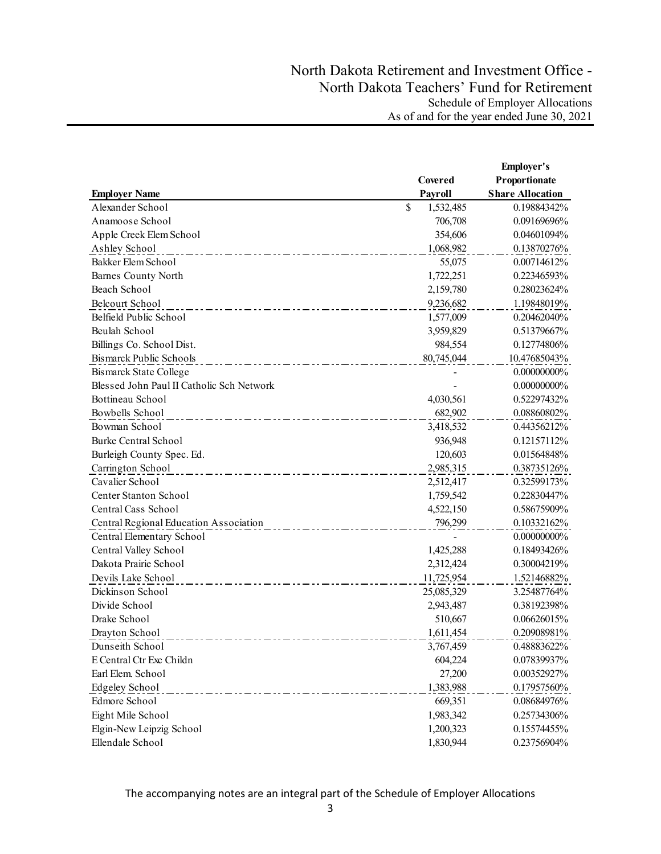|                                           |                 | <b>Employer's</b>       |
|-------------------------------------------|-----------------|-------------------------|
|                                           | Covered         | Proportionate           |
| <b>Employer Name</b>                      | Payroll         | <b>Share Allocation</b> |
| Alexander School                          | \$<br>1,532,485 | 0.19884342%             |
| Anamoose School                           | 706,708         | 0.09169696%             |
| Apple Creek Elem School                   | 354,606         | 0.04601094%             |
| Ashley School                             | 1,068,982       | 0.13870276%             |
| Bakker Elem School                        | 55,075          | 0.00714612%             |
| <b>Barnes County North</b>                | 1,722,251       | 0.22346593%             |
| Beach School                              | 2,159,780       | 0.28023624%             |
| Belcourt School                           | 9,236,682       | 1.19848019%             |
| Belfield Public School                    | 1,577,009       | 0.20462040%             |
| Beulah School                             | 3,959,829       | 0.51379667%             |
| Billings Co. School Dist.                 | 984,554         | 0.12774806%             |
| Bismarck Public Schools                   | 80,745,044      | 10.47685043%            |
| <b>Bismarck State College</b>             |                 | 0.00000000%             |
| Blessed John Paul II Catholic Sch Network |                 | $0.00000000\%$          |
| Bottineau School                          | 4,030,561       | 0.52297432%             |
| Bowbells School                           | 682,902         | 0.08860802%             |
| Bowman School                             | 3,418,532       | 0.44356212%             |
| <b>Burke Central School</b>               | 936,948         | 0.12157112%             |
| Burleigh County Spec. Ed.                 | 120,603         | 0.01564848%             |
| Carrington School                         | 2,985,315       | 0.38735126%             |
| Cavalier School                           | 2,512,417       | 0.32599173%             |
| <b>Center Stanton School</b>              | 1,759,542       | 0.22830447%             |
| Central Cass School                       | 4,522,150       | 0.58675909%             |
| Central Regional Education Association    | 796,299         | 0.10332162%             |
| Central Elementary School                 |                 | 0.00000000%             |
| Central Valley School                     | 1,425,288       | 0.18493426%             |
| Dakota Prairie School                     | 2,312,424       | 0.30004219%             |
| Devils Lake School                        | 11,725,954      | 1.52146882%             |
| Dickinson School                          | 25,085,329      | 3.25487764%             |
| Divide School                             | 2,943,487       | 0.38192398%             |
| Drake School                              | 510,667         | 0.06626015%             |
| Drayton School                            | 1,611,454       | 0.20908981%             |
| Dunseith School                           | 3,767,459       | 0.48883622%             |
| E Central Ctr Exc Childn                  | 604,224         | 0.07839937%             |
| Earl Elem. School                         | 27,200          | 0.00352927%             |
| Edgeley School                            | 1,383,988       | 0.17957560%             |
| Edmore School                             | 669,351         | 0.08684976%             |
| Eight Mile School                         | 1,983,342       | 0.25734306%             |
| Elgin-New Leipzig School                  | 1,200,323       | 0.15574455%             |
| Ellendale School                          | 1,830,944       | 0.23756904%             |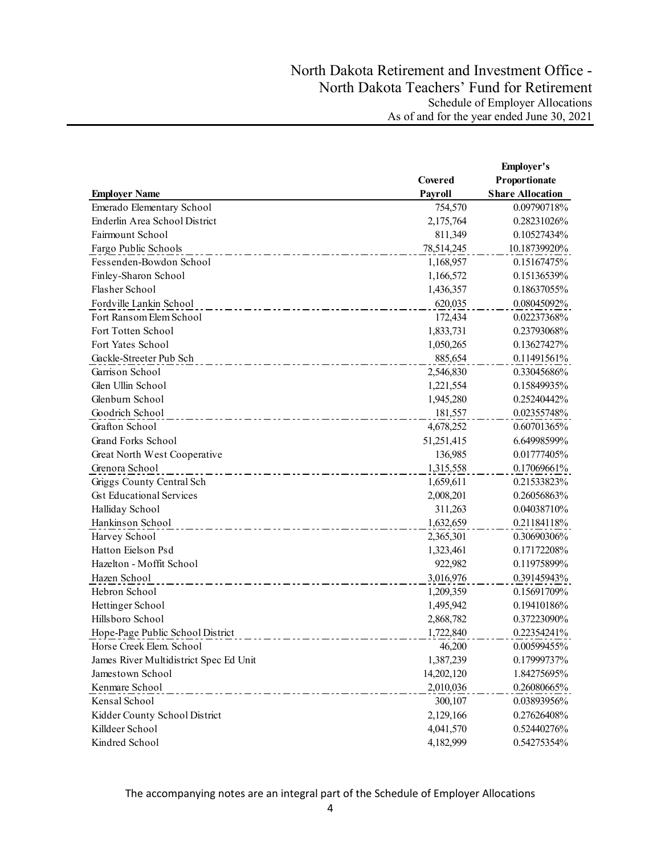|                                        |            | <b>Employer's</b>       |
|----------------------------------------|------------|-------------------------|
|                                        | Covered    | Proportionate           |
| <b>Employer Name</b>                   | Payroll    | <b>Share Allocation</b> |
| Emerado Elementary School              | 754,570    | 0.09790718%             |
| Enderlin Area School District          | 2,175,764  | 0.28231026%             |
| Fairmount School                       | 811,349    | 0.10527434%             |
| Fargo Public Schools                   | 78,514,245 | 10.18739920%            |
| Fessenden-Bowdon School                | 1,168,957  | 0.15167475%             |
| Finley-Sharon School                   | 1,166,572  | 0.15136539%             |
| Flasher School                         | 1,436,357  | 0.18637055%             |
| Fordville Lankin School                | 620,035    | 0.08045092%             |
| Fort Ransom Elem School                | 172,434    | 0.02237368%             |
| Fort Totten School                     | 1,833,731  | 0.23793068%             |
| Fort Yates School                      | 1,050,265  | 0.13627427%             |
| Gackle-Streeter Pub Sch                | 885,654    | 0.11491561%             |
| Garrison School                        | 2,546,830  | 0.33045686%             |
| Glen Ullin School                      | 1,221,554  | 0.15849935%             |
| Glenburn School                        | 1,945,280  | 0.25240442%             |
| Goodrich School                        | 181,557    | 0.02355748%             |
| Grafton School                         | 4,678,252  | 0.60701365%             |
| Grand Forks School                     | 51,251,415 | 6.64998599%             |
| Great North West Cooperative           | 136,985    | 0.01777405%             |
| Grenora School                         | 1,315,558  | 0.17069661%             |
| Griggs County Central Sch              | 1,659,611  | 0.21533823%             |
| <b>Gst Educational Services</b>        | 2,008,201  | 0.26056863%             |
| Halliday School                        | 311,263    | 0.04038710%             |
| Hankinson School                       | 1,632,659  | 0.21184118%             |
| Harvey School                          | 2,365,301  | 0.30690306%             |
| Hatton Eielson Psd                     | 1,323,461  | 0.17172208%             |
| Hazelton - Moffit School               | 922,982    | 0.11975899%             |
| Hazen School                           | 3,016,976  | 0.39145943%             |
| Hebron School                          | 1,209,359  | 0.15691709%             |
| Hettinger School                       | 1,495,942  | 0.19410186%             |
| Hillsboro School                       | 2,868,782  | 0.37223090%             |
| Hope-Page Public School District       | 1,722,840  | 0.22354241%             |
| Horse Creek Elem. School               | 46,200     | 0.00599455%             |
| James River Multidistrict Spec Ed Unit | 1,387,239  | 0.17999737%             |
| Jamestown School                       | 14,202,120 | 1.84275695%             |
| Kenmare School                         | 2,010,036  | 0.26080665%             |
| Kensal School                          | 300,107    | 0.03893956%             |
| Kidder County School District          | 2,129,166  | 0.27626408%             |
| Killdeer School                        | 4,041,570  | 0.52440276%             |
| Kindred School                         | 4,182,999  | 0.54275354%             |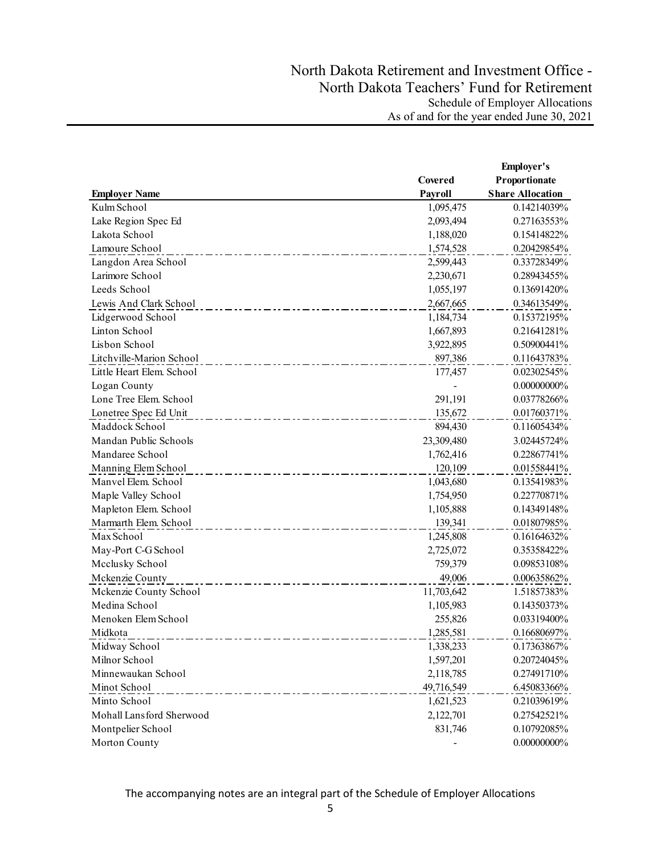|                           |                          | <b>Employer's</b>       |
|---------------------------|--------------------------|-------------------------|
|                           | Covered                  | Proportionate           |
| <b>Employer Name</b>      | Payroll                  | <b>Share Allocation</b> |
| Kulm School               | 1,095,475                | 0.14214039%             |
| Lake Region Spec Ed       | 2,093,494                | 0.27163553%             |
| Lakota School             | 1,188,020                | 0.15414822%             |
| Lamoure School            | 1,574,528                | 0.20429854%             |
| Langdon Area School       | 2,599,443                | 0.33728349%             |
| Larimore School           | 2,230,671                | 0.28943455%             |
| Leeds School              | 1,055,197                | 0.13691420%             |
| Lewis And Clark School    | 2,667,665                | 0.34613549%             |
| Lidgerwood School         | 1,184,734                | 0.15372195%             |
| Linton School             | 1,667,893                | 0.21641281%             |
| Lisbon School             | 3,922,895                | 0.50900441%             |
| Litchville-Marion School  | 897,386                  | 0.11643783%             |
| Little Heart Elem. School | 177,457                  | 0.02302545%             |
| Logan County              | $\overline{\phantom{0}}$ | $0.00000000\%$          |
| Lone Tree Elem. School    | 291,191                  | 0.03778266%             |
| Lonetree Spec Ed Unit     | 135,672                  | 0.01760371%             |
| Maddock School            | 894,430                  | 0.11605434%             |
| Mandan Public Schools     | 23,309,480               | 3.02445724%             |
| Mandaree School           | 1,762,416                | 0.22867741%             |
| Manning Elem School       | 120,109                  | 0.01558441%             |
| Manvel Elem. School       | 1,043,680                | 0.13541983%             |
| Maple Valley School       | 1,754,950                | 0.22770871%             |
| Mapleton Elem. School     | 1,105,888                | 0.14349148%             |
| Marmarth Elem. School     | 139,341                  | 0.01807985%             |
| Max School                | 1,245,808                | 0.16164632%             |
| May-Port C-G School       | 2,725,072                | 0.35358422%             |
| Mcclusky School           | 759,379                  | 0.09853108%             |
| Mckenzie County           | 49,006                   | 0.00635862%             |
| Mckenzie County School    | 11,703,642               | 1.51857383%             |
| Medina School             | 1,105,983                | 0.14350373%             |
| Menoken Elem School       | 255,826                  | 0.03319400%             |
| Midkota                   | 1,285,581                | 0.16680697%             |
| Midway School             | 1,338,233                | 0.17363867%             |
| Milnor School             | 1,597,201                | 0.20724045%             |
| Minnewaukan School        | 2,118,785                | 0.27491710%             |
| Minot School              | 49,716,549               | 6.45083366%             |
| Minto School              | 1,621,523                | 0.21039619%             |
| Mohall Lansford Sherwood  | 2,122,701                | 0.27542521%             |
| Montpelier School         | 831,746                  | 0.10792085%             |
| Morton County             |                          | $0.00000000\%$          |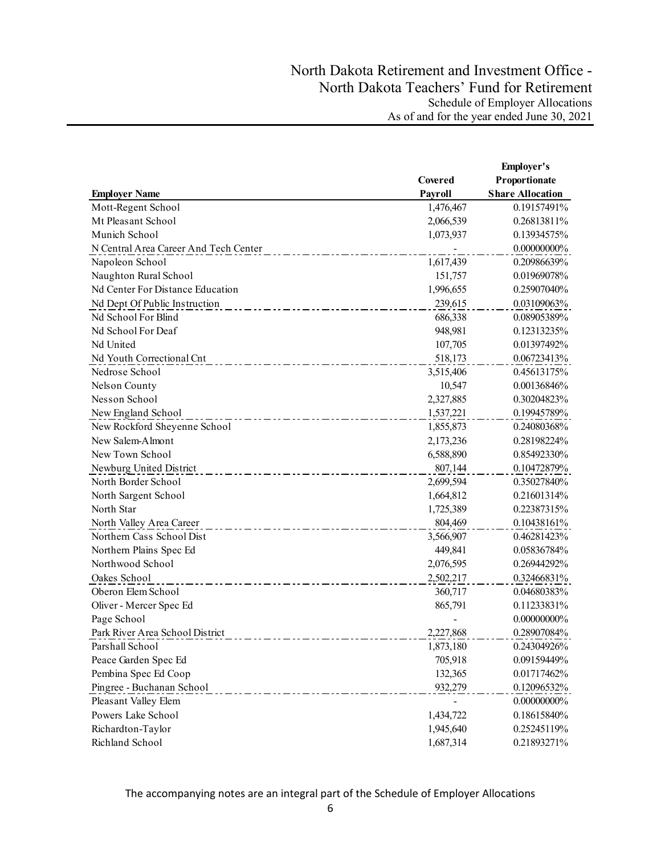|                                       |           | <b>Employer's</b>       |
|---------------------------------------|-----------|-------------------------|
|                                       | Covered   | Proportionate           |
| <b>Employer Name</b>                  | Payroll   | <b>Share Allocation</b> |
| Mott-Regent School                    | 1,476,467 | 0.19157491%             |
| Mt Pleasant School                    | 2,066,539 | 0.26813811%             |
| Munich School                         | 1,073,937 | 0.13934575%             |
| N Central Area Career And Tech Center |           | $0.00000000\%$          |
| Napoleon School                       | 1,617,439 | 0.20986639%             |
| Naughton Rural School                 | 151,757   | 0.01969078%             |
| Nd Center For Distance Education      | 1,996,655 | 0.25907040%             |
| Nd Dept Of Public Instruction         | 239,615   | 0.03109063%             |
| Nd School For Blind                   | 686,338   | 0.08905389%             |
| Nd School For Deaf                    | 948,981   | 0.12313235%             |
| Nd United                             | 107,705   | 0.01397492%             |
| Nd Youth Correctional Cnt             | 518,173   | 0.06723413%             |
| Nedrose School                        | 3,515,406 | 0.45613175%             |
| Nelson County                         | 10,547    | 0.00136846%             |
| Nesson School                         | 2,327,885 | 0.30204823%             |
| New England School                    | 1,537,221 | 0.19945789%             |
| New Rockford Sheyenne School          | 1,855,873 | 0.24080368%             |
| New Salem-Almont                      | 2,173,236 | 0.28198224%             |
| New Town School                       | 6,588,890 | 0.85492330%             |
| Newburg United District               | 807,144   | 0.10472879%             |
| North Border School                   | 2,699,594 | 0.35027840%             |
| North Sargent School                  | 1,664,812 | 0.21601314%             |
| North Star                            | 1,725,389 | 0.22387315%             |
| North Valley Area Career              | 804,469   | 0.10438161%             |
| Northern Cass School Dist             | 3,566,907 | 0.46281423%             |
| Northern Plains Spec Ed               | 449,841   | 0.05836784%             |
| Northwood School                      | 2,076,595 | 0.26944292%             |
| Oakes School                          | 2,502,217 | 0.32466831%             |
| Oberon Elem School                    | 360,717   | 0.04680383%             |
| Oliver - Mercer Spec Ed               | 865,791   | 0.11233831%             |
| Page School                           |           | $0.00000000\%$          |
| Park River Area School District       | 2,227,868 | 0.28907084%             |
| Parshall School                       | 1,873,180 | 0.24304926%             |
| Peace Garden Spec Ed                  | 705,918   | 0.09159449%             |
| Pembina Spec Ed Coop                  | 132,365   | 0.01717462%             |
| Pingree - Buchanan School             | 932,279   | 0.12096532%             |
| Pleasant Valley Elem                  |           | 0.00000000%             |
| Powers Lake School                    | 1,434,722 | 0.18615840%             |
| Richardton-Taylor                     | 1,945,640 | 0.25245119%             |
| Richland School                       | 1,687,314 | 0.21893271%             |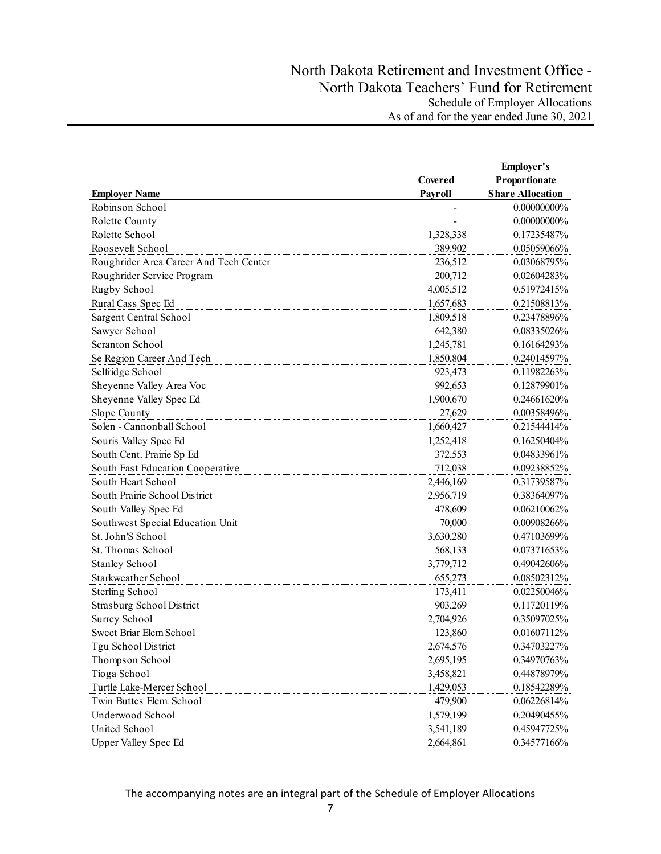|                                        |           | Employer's              |
|----------------------------------------|-----------|-------------------------|
|                                        | Covered   | Proportionate           |
| <b>Employer Name</b>                   | Payroll   | <b>Share Allocation</b> |
| Robinson School                        |           | $0.00000000\%$          |
| Rolette County                         |           | 0.00000000%             |
| Rolette School                         | 1,328,338 | 0.17235487%             |
| Roosevelt School                       | 389,902   | 0.05059066%             |
| Roughrider Area Career And Tech Center | 236,512   | 0.03068795%             |
| Roughrider Service Program             | 200,712   | 0.02604283%             |
| Rugby School                           | 4,005,512 | 0.51972415%             |
| Rural Cass Spec Ed                     | 1,657,683 | 0.21508813%             |
| Sargent Central School                 | 1,809,518 | 0.23478896%             |
| Sawyer School                          | 642,380   | 0.08335026%             |
| Scranton School                        | 1,245,781 | 0.16164293%             |
| Se Region Career And Tech              | 1,850,804 | 0.24014597%             |
| Selfridge School                       | 923,473   | 0.11982263%             |
| Sheyenne Valley Area Voc               | 992,653   | 0.12879901%             |
| Sheyenne Valley Spec Ed                | 1,900,670 | 0.24661620%             |
| Slope County                           | 27,629    | 0.00358496%             |
| Solen - Cannonball School              | 1,660,427 | 0.21544414%             |
| Souris Valley Spec Ed                  | 1,252,418 | 0.16250404%             |
| South Cent. Prairie Sp Ed              | 372,553   | 0.04833961%             |
| South East Education Cooperative       | 712,038   | 0.09238852%             |
| South Heart School                     | 2,446,169 | 0.31739587%             |
| South Prairie School District          | 2,956,719 | 0.38364097%             |
| South Valley Spec Ed                   | 478,609   | 0.06210062%             |
| Southwest Special Education Unit       | 70,000    | 0.00908266%             |
| St. John'S School                      | 3,630,280 | 0.47103699%             |
| St. Thomas School                      | 568,133   | 0.07371653%             |
| <b>Stanley School</b>                  | 3,779,712 | 0.49042606%             |
| Starkweather School                    | 655,273   | 0.08502312%             |
| Sterling School                        | 173,411   | 0.02250046%             |
| Strasburg School District              | 903,269   | 0.11720119%             |
| Surrey School                          | 2,704,926 | 0.35097025%             |
| Sweet Briar Elem School                | 123,860   | 0.01607112%             |
| Tgu School District                    | 2,674,576 | 0.34703227%             |
| Thompson School                        | 2,695,195 | 0.34970763%             |
| Tioga School                           | 3,458,821 | 0.44878979%             |
| Turtle Lake-Mercer School              | 1,429,053 | 0.18542289%             |
| Twin Buttes Elem. School               | 479,900   | 0.06226814%             |
| Underwood School                       | 1,579,199 | 0.20490455%             |
| United School                          | 3,541,189 | 0.45947725%             |
| <b>Upper Valley Spec Ed</b>            | 2,664,861 | 0.34577166%             |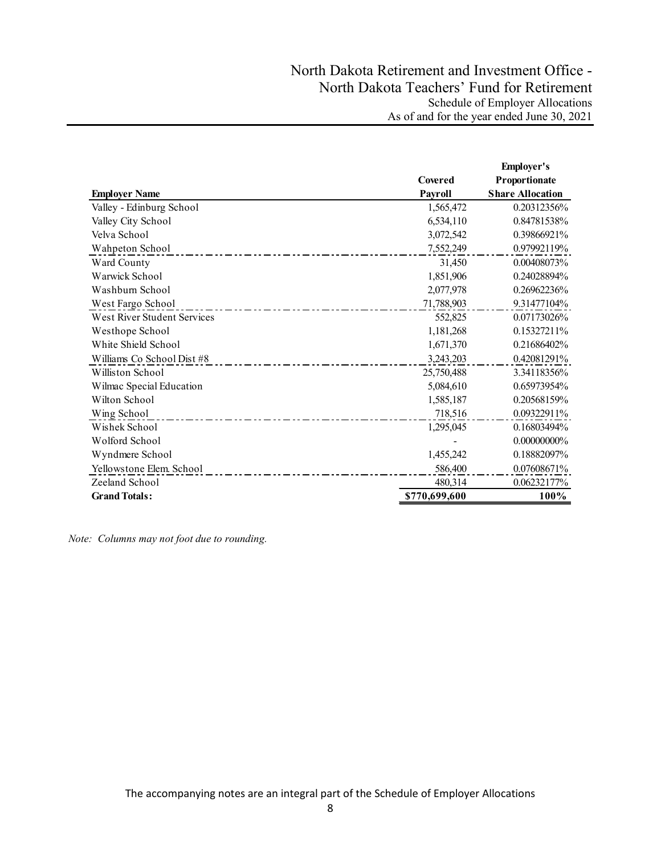|                             |                | <b>Employer's</b>       |
|-----------------------------|----------------|-------------------------|
|                             | Covered        | Proportionate           |
| <b>Employer Name</b>        | <b>Payroll</b> | <b>Share Allocation</b> |
| Valley - Edinburg School    | 1,565,472      | 0.20312356%             |
| Valley City School          | 6,534,110      | 0.84781538%             |
| Velva School                | 3,072,542      | 0.39866921%             |
| Wahpeton School             | 7,552,249      | 0.97992119%             |
| Ward County                 | 31,450         | 0.00408073%             |
| Warwick School              | 1,851,906      | 0.24028894%             |
| Washburn School             | 2,077,978      | 0.26962236%             |
| West Fargo School           | 71,788,903     | 9.31477104%             |
| West River Student Services | 552,825        | 0.07173026%             |
| Westhope School             | 1,181,268      | 0.15327211%             |
| White Shield School         | 1,671,370      | 0.21686402%             |
| Williams Co School Dist #8  | 3,243,203      | 0.42081291%             |
| Williston School            | 25,750,488     | 3.34118356%             |
| Wilmac Special Education    | 5,084,610      | 0.65973954%             |
| Wilton School               | 1,585,187      | 0.20568159%             |
| Wing School                 | 718,516        | 0.09322911%             |
| Wishek School               | 1,295,045      | 0.16803494%             |
| Wolford School              |                | 0.00000000%             |
| Wyndmere School             | 1,455,242      | 0.18882097%             |
| Yellowstone Elem. School    | 586,400        | 0.07608671%             |
| Zeeland School              | 480,314        | 0.06232177%             |
| <b>Grand Totals:</b>        | \$770,699,600  | 100%                    |

*Note: Columns may not foot due to rounding.*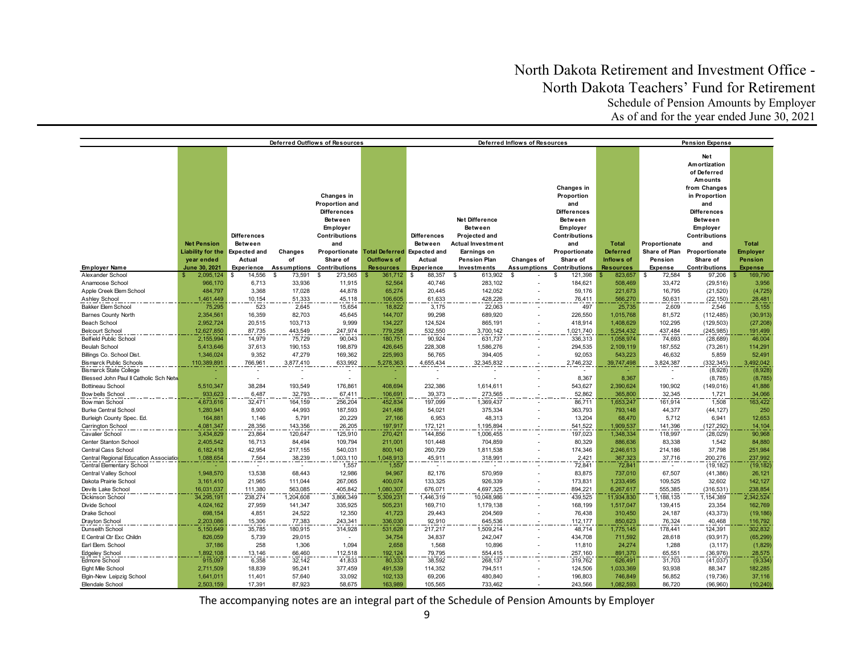|                                                                         |                                                                               |                                                                                     |                                     | Deferred Outflows of Resources                                                                                                                                |                                                                       |                                                              |                                                                                                                                           | Deferred Inflows of Resources    |                                                                                                                                                                  |                                                                   | <b>Pension Expense</b>                               |                                                                                                                                                                                                                                      |                                                                     |  |
|-------------------------------------------------------------------------|-------------------------------------------------------------------------------|-------------------------------------------------------------------------------------|-------------------------------------|---------------------------------------------------------------------------------------------------------------------------------------------------------------|-----------------------------------------------------------------------|--------------------------------------------------------------|-------------------------------------------------------------------------------------------------------------------------------------------|----------------------------------|------------------------------------------------------------------------------------------------------------------------------------------------------------------|-------------------------------------------------------------------|------------------------------------------------------|--------------------------------------------------------------------------------------------------------------------------------------------------------------------------------------------------------------------------------------|---------------------------------------------------------------------|--|
| <b>Employer Name</b>                                                    | <b>Net Pension</b><br><b>Liability for the</b><br>year ended<br>June 30, 2021 | <b>Differences</b><br>Between<br><b>Expected and</b><br>Actual<br><b>Experience</b> | Changes<br>of<br><b>Assumptions</b> | Changes in<br>Proportion and<br><b>Differences</b><br>Between<br>Employer<br><b>Contributions</b><br>and<br>Proportionate<br>Share of<br><b>Contributions</b> | Total Deferred Expected and<br><b>Outflows of</b><br><b>Resources</b> | <b>Differences</b><br>Between<br>Actual<br><b>Experience</b> | <b>Net Difference</b><br><b>Between</b><br>Projected and<br><b>Actual Investment</b><br>Earnings on<br><b>Pension Plan</b><br>Investments | <b>Changes of</b><br>Assumptions | Changes in<br>Proportion<br>and<br><b>Differences</b><br>Between<br>Employer<br><b>Contributions</b><br>and<br>Proportionate<br>Share of<br><b>Contributions</b> | <b>Total</b><br><b>Deferred</b><br>Inflows of<br><b>Resources</b> | Proportionate<br>Share of Plan<br>Pension<br>Expense | Net<br>Amortization<br>of Deferred<br>Amounts<br>from Changes<br>in Proportion<br>and<br><b>Differences</b><br><b>Between</b><br><b>Employer</b><br><b>Contributions</b><br>and<br>Proportionate<br>Share of<br><b>Contributions</b> | <b>Total</b><br><b>Employer</b><br><b>Pension</b><br><b>Expense</b> |  |
| Alexander School                                                        | 2,095,124                                                                     | 14,556<br>\$                                                                        | 73,591<br>\$.                       | s.<br>273,565                                                                                                                                                 | 361,712                                                               | 88,357<br>\$                                                 | 613,902<br>\$                                                                                                                             | \$                               | 121,398<br>£.                                                                                                                                                    | 823,657                                                           | 72,584<br>S                                          | 97,206<br>\$.                                                                                                                                                                                                                        | 169,790                                                             |  |
| Anamoose School                                                         | 966,170                                                                       | 6,713                                                                               | 33,936                              | 11,915                                                                                                                                                        | 52,564                                                                | 40,746                                                       | 283,102                                                                                                                                   |                                  | 184,621                                                                                                                                                          | 508,469                                                           | 33,472                                               | (29, 516)                                                                                                                                                                                                                            | 3,956                                                               |  |
| Apple Creek Elem School                                                 | 484,797                                                                       | 3.368                                                                               | 17,028                              | 44,878                                                                                                                                                        | 65,274                                                                | 20,445                                                       | 142,052                                                                                                                                   |                                  | 59,176                                                                                                                                                           | 221,673                                                           | 16,795                                               | (21, 520)                                                                                                                                                                                                                            | (4, 725)                                                            |  |
| Ashley School                                                           | 1,461,449                                                                     | 10,154                                                                              | 51,333                              | 45,118                                                                                                                                                        | 106,605                                                               | 61,633                                                       | 428,226                                                                                                                                   |                                  | 76,411                                                                                                                                                           | 566,270                                                           | 50,631                                               | (22, 150)                                                                                                                                                                                                                            | 28,481                                                              |  |
| Bakker Elem School                                                      | 75,295                                                                        | 523                                                                                 | 2,645                               | 15,654                                                                                                                                                        | 18,822                                                                | 3,175                                                        | 22,063                                                                                                                                    |                                  | 497                                                                                                                                                              | 25,735                                                            | 2,609                                                | 2,546                                                                                                                                                                                                                                | 5,155                                                               |  |
| <b>Barnes County North</b>                                              | 2,354,561                                                                     | 16,359                                                                              | 82,703                              | 45,645                                                                                                                                                        | 144,707                                                               | 99,298                                                       | 689,920                                                                                                                                   |                                  | 226,550                                                                                                                                                          | 1,015,768                                                         | 81,572                                               | (112, 485)                                                                                                                                                                                                                           | (30, 913)                                                           |  |
| Beach School                                                            | 2,952,724                                                                     | 20,515                                                                              | 103,713                             | 9,999                                                                                                                                                         | 134,227                                                               | 124,524                                                      | 865,191                                                                                                                                   |                                  | 418,914                                                                                                                                                          | 1,408,629                                                         | 102,295                                              | (129, 503)                                                                                                                                                                                                                           | (27, 208)                                                           |  |
| <b>Belcourt School</b>                                                  | 12,627,850                                                                    | 87,735                                                                              | 443,549                             | 247,974                                                                                                                                                       | 779,258                                                               | 532,550                                                      | 3,700,142                                                                                                                                 |                                  | 1,021,740                                                                                                                                                        | 5,254,432                                                         | 437,484                                              | (245, 985)                                                                                                                                                                                                                           | 191,499                                                             |  |
| <b>Belfield Public School</b>                                           | 2,155,994                                                                     | 14,979                                                                              | 75,729                              | 90,043                                                                                                                                                        | 180,751                                                               | 90,924                                                       | 631,737                                                                                                                                   |                                  | 336,313                                                                                                                                                          | 1,058,974                                                         | 74,693                                               | (28, 689)                                                                                                                                                                                                                            | 46,004                                                              |  |
| <b>Beulah School</b>                                                    | 5,413,646                                                                     | 37,613                                                                              | 190,153                             | 198,879                                                                                                                                                       | 426,645                                                               | 228,308                                                      | 1,586,276                                                                                                                                 |                                  | 294,535                                                                                                                                                          | 2,109,119                                                         | 187,552                                              | (73, 261)                                                                                                                                                                                                                            | 114,291                                                             |  |
| Billings Co. School Dist                                                | 1,346,024                                                                     | 9,352                                                                               | 47,279                              | 169,362                                                                                                                                                       | 225,993                                                               | 56,765                                                       | 394,405                                                                                                                                   |                                  | 92,053                                                                                                                                                           | 543,223                                                           | 46,632                                               | 5,859                                                                                                                                                                                                                                | 52,491                                                              |  |
| <b>Bismarck Public Schools</b>                                          | 110,389,891                                                                   | 766,961                                                                             | 3,877,410                           | 633,992                                                                                                                                                       | 5,278,363                                                             | 4,655,434                                                    | 32,345,832                                                                                                                                |                                  | 2,746,232                                                                                                                                                        | 39,747,498                                                        | 3,824,387                                            | (332, 345)                                                                                                                                                                                                                           | 3,492,042                                                           |  |
| <b>Bismarck State College</b><br>Blessed John Paul II Catholic Sch Netw |                                                                               |                                                                                     |                                     |                                                                                                                                                               |                                                                       |                                                              |                                                                                                                                           |                                  | 8,367                                                                                                                                                            | 8,367                                                             |                                                      | (8,928)<br>(8,785)                                                                                                                                                                                                                   | (8,928)<br>(8, 785)                                                 |  |
| <b>Bottineau School</b>                                                 | 5,510,347                                                                     | 38,284                                                                              | 193,549                             | 176,861                                                                                                                                                       | 408,694                                                               | 232,386                                                      | 1,614,611                                                                                                                                 |                                  | 543,627                                                                                                                                                          | 2,390,624                                                         | 190,902                                              | (149, 016)                                                                                                                                                                                                                           | 41,886                                                              |  |
| Bow bells School                                                        | 933,623                                                                       | 6,487                                                                               | 32,793                              | 67,411                                                                                                                                                        | 106,691                                                               | 39,373                                                       | 273,565                                                                                                                                   |                                  | 52,862                                                                                                                                                           | 365,800                                                           | 32,345                                               | 1,721                                                                                                                                                                                                                                | 34,066                                                              |  |
| Bow man School                                                          | 4,673,616                                                                     | 32,471                                                                              | 164,159                             | 256,204                                                                                                                                                       | 452,834                                                               | 197,099                                                      | 1,369,437                                                                                                                                 |                                  | 86,711                                                                                                                                                           | 1,653,247                                                         | 161,914                                              | 1,508                                                                                                                                                                                                                                | 163,422                                                             |  |
| <b>Burke Central School</b>                                             | 1,280,941                                                                     | 8,900                                                                               | 44,993                              | 187,593                                                                                                                                                       | 241,486                                                               | 54,021                                                       | 375,334                                                                                                                                   |                                  | 363,793                                                                                                                                                          | 793,148                                                           | 44,377                                               | (44, 127)                                                                                                                                                                                                                            | 250                                                                 |  |
| Burleigh County Spec. Ed.                                               | 164,881                                                                       | 1,146                                                                               | 5,791                               | 20,229                                                                                                                                                        | 27,166                                                                | 6,953                                                        | 48,313                                                                                                                                    |                                  | 13,204                                                                                                                                                           | 68,470                                                            | 5,712                                                | 6,941                                                                                                                                                                                                                                | 12,653                                                              |  |
| Carrington School                                                       | 4,081,347                                                                     | 28,356                                                                              | 143,356                             | 26,205                                                                                                                                                        | 197,917                                                               | 172,121                                                      | 1,195,894                                                                                                                                 |                                  | 541,522                                                                                                                                                          | 1,909,537                                                         | 141,396                                              | (127, 292)                                                                                                                                                                                                                           | 14,104                                                              |  |
| Cavalier School                                                         | 3,434,829                                                                     | 23,864                                                                              | 120,647                             | 125,910                                                                                                                                                       | 270,421                                                               | 144,856                                                      | 1,006,455                                                                                                                                 |                                  | 197,023                                                                                                                                                          | 1,348,334                                                         | 118,997                                              | (28, 029)                                                                                                                                                                                                                            | 90,968                                                              |  |
| Center Stanton School                                                   | 2,405,542                                                                     | 16,713                                                                              | 84,494                              | 109,794                                                                                                                                                       | 211,001                                                               | 101,448                                                      | 704,859                                                                                                                                   |                                  | 80,329                                                                                                                                                           | 886,636                                                           | 83,338                                               | 1,542                                                                                                                                                                                                                                | 84,880                                                              |  |
| Central Cass School                                                     | 6,182,418                                                                     | 42,954                                                                              | 217,155                             | 540,031                                                                                                                                                       | 800,140                                                               | 260,729                                                      | 1,811,538                                                                                                                                 |                                  | 174,346                                                                                                                                                          | 2,246,613                                                         | 214,186                                              | 37,798                                                                                                                                                                                                                               | 251,984                                                             |  |
| Central Regional Education Association                                  | 1,088,654                                                                     | 7,564                                                                               | 38,239                              | 1,003,110                                                                                                                                                     | 1,048,913                                                             | 45,911                                                       | 318,991                                                                                                                                   |                                  | 2,421                                                                                                                                                            | 367,323                                                           | 37,716                                               | 200,276                                                                                                                                                                                                                              | 237,992                                                             |  |
| Central Elementary School                                               |                                                                               |                                                                                     |                                     | 1,557                                                                                                                                                         | 1,557                                                                 | $\overline{\phantom{a}}$                                     |                                                                                                                                           |                                  | 72,841                                                                                                                                                           | 72,841                                                            |                                                      | (19, 182)                                                                                                                                                                                                                            | (19, 182)                                                           |  |
| Central Valley School                                                   | 1,948,570                                                                     | 13,538                                                                              | 68,443                              | 12,986                                                                                                                                                        | 94,967                                                                | 82,176                                                       | 570,959                                                                                                                                   |                                  | 83,875                                                                                                                                                           | 737,010                                                           | 67,507                                               | (41, 386)                                                                                                                                                                                                                            | 26,121                                                              |  |
| Dakota Prairie School                                                   | 3,161,410                                                                     | 21,965                                                                              | 111,044                             | 267,065                                                                                                                                                       | 400,074                                                               | 133,325                                                      | 926,339                                                                                                                                   |                                  | 173,831                                                                                                                                                          | 1,233,495                                                         | 109,525                                              | 32,602                                                                                                                                                                                                                               | 142,127                                                             |  |
| Devils Lake School                                                      | 16.031.037                                                                    | 111,380                                                                             | 563.085                             | 405.842                                                                                                                                                       | 1.080.307                                                             | 676.071                                                      | 4.697.325                                                                                                                                 |                                  | 894,221                                                                                                                                                          | 6.267.617                                                         | 555,385                                              | (316.531)                                                                                                                                                                                                                            | 238,854                                                             |  |
| Dickinson School                                                        | 34,295,191                                                                    | 238,274                                                                             | 1,204,608                           | 3,866,349                                                                                                                                                     | 5,309,231                                                             | 1,446,319                                                    | 10,048,986                                                                                                                                |                                  | 439,525                                                                                                                                                          | 11,934,830                                                        | 1,188,135                                            | 1,154,389                                                                                                                                                                                                                            | 2,342,524                                                           |  |
| Divide School<br>Drake School                                           | 4,024,162<br>698,154                                                          | 27,959<br>4,851                                                                     | 141,347<br>24,522                   | 335,925<br>12,350                                                                                                                                             | 505,231<br>41,723                                                     | 169,710<br>29,443                                            | 1,179,138<br>204,569                                                                                                                      |                                  | 168,199<br>76,438                                                                                                                                                | 1,517,047<br>310,450                                              | 139,415<br>24,187                                    | 23,354<br>(43, 373)                                                                                                                                                                                                                  | 162,769<br>(19, 186)                                                |  |
|                                                                         | 2,203,086                                                                     | 15,306                                                                              | 77,383                              | 243,341                                                                                                                                                       | 336,030                                                               | 92,910                                                       | 645,536                                                                                                                                   |                                  | 112,177                                                                                                                                                          | 850,623                                                           | 76,324                                               | 40,468                                                                                                                                                                                                                               |                                                                     |  |
| <b>Drayton School</b><br>Dunseith School                                | 5,150,649                                                                     | 35,785                                                                              | 180,915                             | 314,928                                                                                                                                                       | 531,628                                                               | 217,217                                                      | 1,509,214                                                                                                                                 |                                  | 48,714                                                                                                                                                           | 1,775,145                                                         | 178,441                                              | 124,391                                                                                                                                                                                                                              | 116,792<br>302,832                                                  |  |
| E Central Ctr Exc Childn                                                | 826,059                                                                       | 5,739                                                                               | 29,015                              | $\overline{a}$                                                                                                                                                | 34,754                                                                | 34,837                                                       | 242,047                                                                                                                                   |                                  | 434,708                                                                                                                                                          | 711,592                                                           | 28,618                                               | (93, 917)                                                                                                                                                                                                                            | (65, 299)                                                           |  |
| Earl Elem. School                                                       | 37,186                                                                        | 258                                                                                 | 1,306                               | 1,094                                                                                                                                                         | 2,658                                                                 | 1,568                                                        | 10,896                                                                                                                                    |                                  | 11,810                                                                                                                                                           | 24,274                                                            | 1,288                                                | (3, 117)                                                                                                                                                                                                                             | (1,829)                                                             |  |
| <b>Edgeley School</b>                                                   | 1,892,108                                                                     | 13,146                                                                              | 66,460                              | 112,518                                                                                                                                                       | 192,124                                                               | 79,795                                                       | 554,415                                                                                                                                   |                                  | 257,160                                                                                                                                                          | 891,370                                                           | 65,551                                               | (36, 976)                                                                                                                                                                                                                            | 28,575                                                              |  |
| Edmore School                                                           | 915,097                                                                       | 6,358                                                                               | 32,142                              | 41,833                                                                                                                                                        | 80,333                                                                | 38,592                                                       | 268,137                                                                                                                                   |                                  | 319,762                                                                                                                                                          | 626,491                                                           | 31,703                                               | (41, 037)                                                                                                                                                                                                                            | (9, 334)                                                            |  |
| Eight Mile School                                                       | 2,711,509                                                                     | 18,839                                                                              | 95,241                              | 377,459                                                                                                                                                       | 491,539                                                               | 114,352                                                      | 794,511                                                                                                                                   |                                  | 124,506                                                                                                                                                          | 1,033,369                                                         | 93,938                                               | 88,347                                                                                                                                                                                                                               | 182,285                                                             |  |
| Elgin-New Leipzig School                                                | 1,641,011                                                                     | 11,401                                                                              | 57,640                              | 33,092                                                                                                                                                        | 102,133                                                               | 69,206                                                       | 480,840                                                                                                                                   |                                  | 196,803                                                                                                                                                          | 746,849                                                           | 56,852                                               | (19, 736)                                                                                                                                                                                                                            | 37,116                                                              |  |
| Ellendale School                                                        | 2,503,159                                                                     | 17,391                                                                              | 87,923                              | 58,675                                                                                                                                                        | 163,989                                                               | 105,565                                                      | 733,462                                                                                                                                   |                                  | 243,566                                                                                                                                                          | 1,082,593                                                         | 86,720                                               | (96,960)                                                                                                                                                                                                                             | (10, 240)                                                           |  |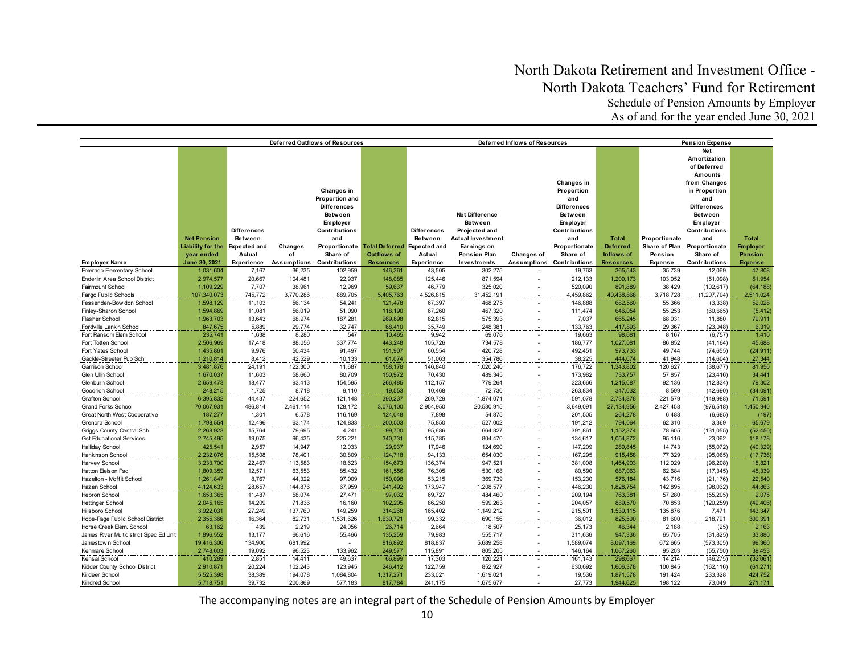|                                        | Deferred Outflows of Resources |                     |                  |                                  |                                    |                    | Deferred Inflows of Resources | <b>Pension Expense</b> |                                  |                    |                  |                      |                         |
|----------------------------------------|--------------------------------|---------------------|------------------|----------------------------------|------------------------------------|--------------------|-------------------------------|------------------------|----------------------------------|--------------------|------------------|----------------------|-------------------------|
|                                        |                                |                     |                  |                                  |                                    |                    |                               |                        |                                  |                    |                  | <b>Net</b>           |                         |
|                                        |                                |                     |                  |                                  |                                    |                    |                               |                        |                                  |                    |                  | Amortization         |                         |
|                                        |                                |                     |                  |                                  |                                    |                    |                               |                        |                                  |                    |                  | of Deferred          |                         |
|                                        |                                |                     |                  |                                  |                                    |                    |                               |                        |                                  |                    |                  | Amounts              |                         |
|                                        |                                |                     |                  |                                  |                                    |                    |                               |                        | Changes in                       |                    |                  | from Changes         |                         |
|                                        |                                |                     |                  | Changes in                       |                                    |                    |                               |                        | Proportion                       |                    |                  | in Proportion        |                         |
|                                        |                                |                     |                  | Proportion and                   |                                    |                    |                               |                        | and                              |                    |                  | and                  |                         |
|                                        |                                |                     |                  | <b>Differences</b>               |                                    |                    |                               |                        | <b>Differences</b>               |                    |                  | <b>Differences</b>   |                         |
|                                        |                                |                     |                  | Between                          |                                    |                    | <b>Net Difference</b>         |                        | <b>Between</b>                   |                    |                  | Between              |                         |
|                                        |                                |                     |                  | Employer                         |                                    |                    | Between                       |                        | Employer                         |                    |                  | Employer             |                         |
|                                        |                                | <b>Differences</b>  |                  | <b>Contributions</b>             |                                    | <b>Differences</b> | Projected and                 |                        | <b>Contributions</b>             |                    |                  | <b>Contributions</b> |                         |
|                                        | <b>Net Pension</b>             | <b>Between</b>      |                  | and                              |                                    | <b>Between</b>     | <b>Actual Investment</b>      |                        | and                              | <b>Total</b>       | Proportionate    | and                  | <b>Total</b>            |
|                                        | Liability for the              | <b>Expected and</b> | Changes          | Proportionate                    | <b>Total Deferred</b> Expected and |                    | Earnings on                   |                        | Proportionate                    | <b>Deferred</b>    | Share of Plan    | Proportionate        | <b>Employer</b>         |
|                                        | year ended                     | Actual              | of               | Share of                         | <b>Outflows of</b>                 | Actual             | <b>Pension Plan</b>           | <b>Changes of</b>      | Share of                         | Inflows of         | Pension          | Share of             | <b>Pension</b>          |
| <b>Employer Name</b>                   | June 30, 2021                  | Experience          |                  | <b>Assumptions Contributions</b> | <b>Resources</b>                   | Experience         | Investments                   |                        | <b>Assumptions Contributions</b> | <b>Resources</b>   | <b>Expense</b>   | <b>Contributions</b> | <b>Expense</b>          |
| Emerado Elementary School              | 1,031,604                      | 7,167               | 36,235           | 102,959                          | 146,361                            | 43,505             | 302,275                       |                        | 19,763                           | 365,543            | 35,739           | 12,069               | 47,808                  |
| Enderlin Area School District          | 2,974,577                      | 20,667              | 104,481          | 22,937                           | 148,085                            | 125,446            | 871,594                       |                        | 212,133                          | 1,209,173          | 103,052          | (51,098)             | 51,954                  |
| Fairmount School                       | 1,109,229                      | 7,707               | 38,961           | 12,969                           | 59,637                             | 46,779             | 325,020                       |                        | 520,090                          | 891.889            | 38,429           | (102, 617)           | (64, 188)               |
| Fargo Public Schools                   | 107,340,073                    | 745,772             | 3,770,286        | 889,705                          | 5,405,763                          | ,526,815           | 31,452,191                    |                        | 4,459,862                        | 40,438,868         | 3,718,728        | (1, 207, 704)        | 2,511,024               |
| Fessenden-Bow don School               | 1,598,129                      | 11,103              | 56,134           | 54,241                           | 121,478                            | 67,397             | 468,275                       |                        | 146,888                          | 682,560            | 55,366           | (3,338)              | 52,028                  |
| Finley-Sharon School                   | 1,594,869                      | 11,081              | 56,019           | 51,090                           | 118,190                            | 67,260             | 467,320                       |                        | 111,474                          | 646,054            | 55,253           | (60, 665)            | (5, 412)                |
| Flasher School                         | 1,963,703                      | 13,643              | 68,974           | 187,281                          | 269,898                            | 82,815             | 575,393                       |                        | 7,037                            | 665,245            | 68,031           | 11,880               | 79,911                  |
| Fordville Lankin School                | 847,675                        | 5,889               | 29,774           | 32,747                           | 68,410                             | 35,749             | 248,381                       |                        | 133,763                          | 417,893            | 29,367           | (23, 048)            | 6,319                   |
| Fort Ransom Elem School                | 235,741                        | 1,638               | 8,280            | 547                              | 10,465                             | 9,942              | 69,076                        |                        | 19,663                           | 98.681             | 8,167            | (6,757)              | 1,410                   |
| Fort Totten School                     | 2,506,969                      | 17,418              | 88,056           | 337,774                          | 443,248                            | 105,726            | 734,578                       |                        | 186,777                          | 1,027,081          | 86,852           | (41, 164)            | 45,688                  |
| Fort Yates School                      | 1,435,861                      | 9,976               | 50,434           | 91,497                           | 151,907                            | 60,554             | 420,728                       |                        | 492,451                          | 973,733            | 49,744           | (74, 655)            | (24, 911)               |
| Gackle-Streeter Pub Sch                | 1,210,814                      | 8,412               | 42,529           | 10,133                           | 61,074                             | 51,063             | 354,786                       |                        | 38,225                           | 444,074            | 41,948           | (14, 604)            | $\frac{27,344}{81,950}$ |
| Garrison School                        | 3,481,876                      | 24,191              | 122,300          | 11,687                           | 158,178                            | 146,840            | 1,020,240                     |                        | 176,722                          | 1,343,802          | 120,627          | (38, 677)            |                         |
| Glen Ullin School                      | 1,670,037                      | 11,603              | 58,660           | 80,709                           | 150,972                            | 70,430             | 489,345                       |                        | 173,982                          | 733,757            | 57,857           | (23, 416)            | 34,441                  |
| Glenburn School                        | 2,659,473                      | 18,477              | 93,413           | 154,595                          | 266,485                            | 112,157            | 779,264                       |                        | 323,666                          | 1,215,087          | 92,136           | (12, 834)            | 79,302                  |
| Goodrich School                        | 248,215                        | 1,725               | 8,718            | 9,110                            | 19,553                             | 10,468             | 72,730                        |                        | 263,834                          | 347,032            | 8,599            | (42, 690)            | (34,091)                |
| <b>Grafton School</b>                  | 6,395,832                      | 44,437              | 224,652          | 121,148                          | 390,237                            | 269,729            | 1,874,071                     |                        | 591,078                          | 2,734,878          | 221,579          | (149,988)            | 71,591                  |
| <b>Grand Forks School</b>              | 70,067,931                     | 486,814             | 2,461,114        | 128,172                          | 3,076,100                          | 2,954,950          | 20,530,915                    |                        | 3,649,091                        | 27,134,956         | 2,427,458        | (976, 518)           | 1,450,940               |
| Great North West Cooperative           | 187,277                        | 1,301               | 6,578            | 116,169                          | 124,048                            | 7,898              | 54,875                        |                        | 201,505                          | 264,278            | 6,488            | (6,685)              | (197)                   |
| Grenora School                         | 1,798,554                      | 12,496              | 63,174           | 124.833                          | 200,503                            | 75,850             | 527,002                       |                        | 191,212                          | 794,064            | 62,310           | 3.369                | 65,679                  |
| Griggs County Central Sch              | 2,268,923                      | 15,764              | 79,695           | 4,241                            | 99,700                             | 95,686             | 664,827                       |                        | 391,861                          | 1,152,374          | 78,605           | (131, 055)           | (52, 450)               |
| <b>Gst Educational Services</b>        | 2,745,495                      | 19,075              | 96,435           | 225,221                          | 340,731                            | 115,785            | 804,470                       |                        | 134,617                          | 1,054,872          | 95,116           | 23,062               | 118,178                 |
| Halliday School<br>Hankinson School    | 425,541<br>2,232,076           | 2,957<br>15,508     | 14,947<br>78,401 | 12,033<br>30,809                 | 29,937                             | 17,946<br>94,133   | 124,690<br>654,030            |                        | 147,209                          | 289,845<br>915,458 | 14,743<br>77,329 | (55,072)<br>(95,065) | (40, 329)               |
| Harvey School                          | 3,233,700                      | 22,467              | 113,583          | 18,623                           | 124,718<br>154,673                 | 136,374            | 947,521                       |                        | 167,295<br>381,008               | 1,464,903          | 112,029          | (96, 208)            | (17, 736)<br>15,821     |
| Hatton Eielson Psd                     | 1,809,359                      | 12,571              | 63,553           | 85,432                           | 161,556                            | 76,305             | 530,168                       |                        | 80,590                           | 687,063            | 62,684           | (17, 345)            | 45,339                  |
| Hazelton - Moffit School               | 1,261,847                      | 8,767               | 44,322           | 97,009                           | 150,098                            | 53,215             | 369,739                       |                        | 153,230                          | 576,184            | 43,716           | (21, 176)            | 22,540                  |
| Hazen School                           | 4,124,633                      | 28,657              | 144,876          | 67,959                           | 241,492                            | 173,947            | 1,208,577                     |                        | 446,230                          | 1,828,754          | 142,895          | (98, 032)            | 44,863                  |
| <b>Hebron School</b>                   | 1,653,365                      | 11,487              | 58,074           | 27,471                           | 97,032                             | 69,727             | 484,460                       |                        | 209,194                          | 763,381            | 57,280           | (55, 205)            | 2,075                   |
| <b>Hettinger School</b>                | 2,045,165                      | 14,209              | 71,836           | 16,160                           | 102,205                            | 86,250             | 599,263                       |                        | 204,057                          | 889,570            | 70,853           | (120, 259)           | (49, 406)               |
| Hillsboro School                       | 3,922,031                      | 27,249              | 137,760          | 149,259                          | 314,268                            | 165,402            | 1,149,212                     |                        | 215,501                          | 1,530,115          | 135,876          | 7,471                | 143,347                 |
| Hope-Page Public School District       | 2.355.366                      | 16,364              | 82,731           | 1,531,626                        | 1,630,721                          | 99,332             | 690,156                       |                        | 36,012                           | 825.500            | 81,600           | 218,791              | 300,391                 |
| Horse Creek Elem. School               | 63,162                         | 439                 | 2,219            | 24,056                           | 26,714                             | 2,664              | 18,507                        |                        | 25,173                           | 46,344             | 2,188            | (25)                 | 2,163                   |
| James River Multidistrict Spec Ed Unit | 1,896,552                      | 13,177              | 66,616           | 55,466                           | 135,259                            | 79,983             | 555,717                       |                        | 311,636                          | 947,336            | 65,705           | (31, 825)            | 33,880                  |
| Jamestow n School                      | 19,416,306                     | 134,900             | 681,992          |                                  | 816,892                            | 818,837            | 5,689,258                     |                        | 1,589,074                        | 8,097,169          | 672,665          | (573, 305)           | 99,360                  |
| Kenmare School                         | 2,748,003                      | 19,092              | 96,523           | 133,962                          | 249,577                            | 115,891            | 805,205                       |                        | 146,164                          | 1,067,260          | 95,203           | (55, 750)            | 39,453                  |
| Kensal School                          | 410,289                        | 2,851               | 14,411           | 49,637                           | 66,899                             | 17,303             | 120,221                       |                        | 161,143                          | 298,667            | 14,214           | (46, 275)            | (32,061)                |
| Kidder County School District          | 2,910,871                      | 20,224              | 102,243          | 123,945                          | 246,412                            | 122,759            | 852,927                       |                        | 630,692                          | 1,606,378          | 100,845          | (162, 116)           | (61, 271)               |
| Killdeer School                        | 5,525,398                      | 38,389              | 194,078          | 1,084,804                        | 1,317,271                          | 233,021            | 1,619,021                     |                        | 19,536                           | 1,871,578          | 191,424          | 233,328              | 424,752                 |
| Kindred School                         | 5,718,751                      | 39,732              | 200,869          | 577,183                          | 817,784                            | 241,175            | 1,675,677                     |                        | 27,773                           | 1,944,625          | 198,122          | 73,049               | 271,171                 |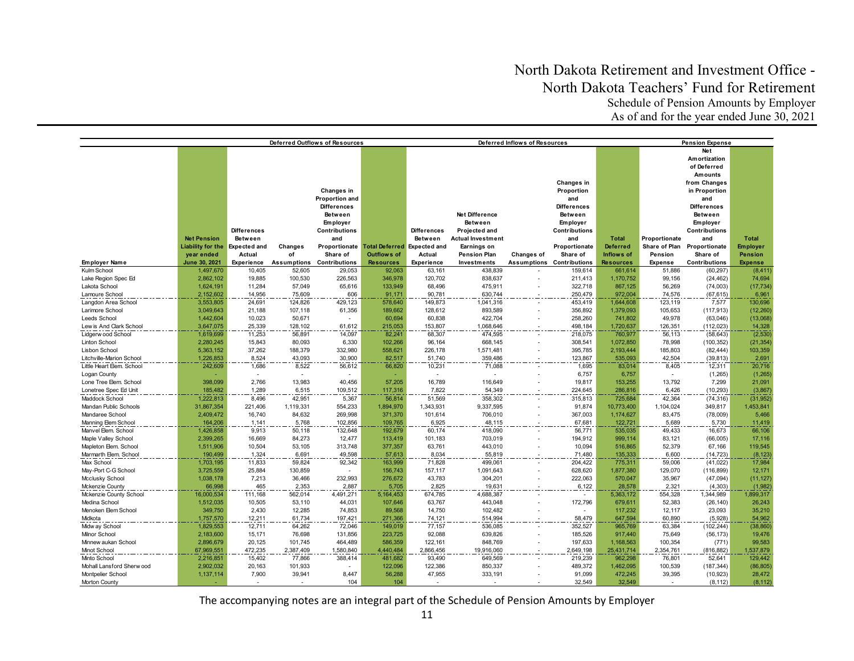|                                        |                        |                     |                  | <b>Deferred Outflows of Resources</b> |                                           |                    | Deferred Inflows of Resources |             | <b>Pension Expense</b> |                  |                |                       |                          |
|----------------------------------------|------------------------|---------------------|------------------|---------------------------------------|-------------------------------------------|--------------------|-------------------------------|-------------|------------------------|------------------|----------------|-----------------------|--------------------------|
|                                        |                        |                     |                  |                                       |                                           |                    |                               |             |                        |                  |                | Net                   |                          |
|                                        |                        |                     |                  |                                       |                                           |                    |                               |             |                        |                  |                | Amortization          |                          |
|                                        |                        |                     |                  |                                       |                                           |                    |                               |             |                        |                  |                | of Deferred           |                          |
|                                        |                        |                     |                  |                                       |                                           |                    |                               |             |                        |                  |                | Amounts               |                          |
|                                        |                        |                     |                  |                                       |                                           |                    |                               |             | Changes in             |                  |                | from Changes          |                          |
|                                        |                        |                     |                  | Changes in                            |                                           |                    |                               |             | Proportion             |                  |                | in Proportion         |                          |
|                                        |                        |                     |                  | Proportion and                        |                                           |                    |                               |             | and                    |                  |                | and                   |                          |
|                                        |                        |                     |                  | <b>Differences</b>                    |                                           |                    |                               |             | <b>Differences</b>     |                  |                | <b>Differences</b>    |                          |
|                                        |                        |                     |                  | Between                               |                                           |                    | <b>Net Difference</b>         |             | <b>Between</b>         |                  |                | <b>Between</b>        |                          |
|                                        |                        |                     |                  | Employer                              |                                           |                    | Between                       |             | Employer               |                  |                | Employer              |                          |
|                                        |                        | <b>Differences</b>  |                  | Contributions                         |                                           | <b>Differences</b> | Projected and                 |             | <b>Contributions</b>   |                  |                | Contributions         |                          |
|                                        | <b>Net Pension</b>     | <b>Between</b>      |                  | and                                   |                                           | Between            | <b>Actual Investment</b>      |             | and                    | <b>Total</b>     | Proportionate  | and                   | <b>Total</b>             |
|                                        | Liability for the      | <b>Expected and</b> | Changes          |                                       | Proportionate Total Deferred Expected and |                    | Earnings on                   |             | Proportionate          | <b>Deferred</b>  | Share of Plan  | Proportionate         | <b>Employer</b>          |
|                                        | year ended             | Actual              | of               | Share of                              | <b>Outflows of</b>                        | Actual             | <b>Pension Plan</b>           | Changes of  | Share of               | Inflows of       | Pension        | Share of              | <b>Pension</b>           |
| <b>Employer Name</b>                   | June 30, 2021          | Experience          | Assumptions      | Contributions                         | <b>Resources</b>                          | <b>Experience</b>  | Investments                   | Assumptions | <b>Contributions</b>   | <b>Resources</b> | <b>Expense</b> | <b>Contributions</b>  | <b>Expense</b>           |
| Kulm School                            | 1,497,670              | 10,405              | 52,605           | 29,053                                | 92,063                                    | 63,161             | 438,839                       |             | 159,614                | 661,614          | 51,886         | (60, 297)             | (8, 411)                 |
| Lake Region Spec Ed                    | 2,862,102              | 19,885              | 100,530          | 226,563                               | 346,978                                   | 120,702            | 838,637                       |             | 211,413                | 1,170,752        | 99,156         | (24, 462)             | 74,694                   |
| Lakota School                          | 1,624,191              | 11,284              |                  |                                       | 133,949                                   | 68,496             | 475,911                       |             | 322,718                | 867,125          | 56,269         |                       |                          |
| Lamoure School                         | 2,152,602              | 14,956              | 57,049<br>75,609 | 65,616<br>606                         | 91,171                                    | 90,781             | 630,744                       |             | 250,479                | 972,004          | 74,576         | (74,003)<br>(67, 615) | (17, 734)<br>6,961       |
|                                        |                        |                     | 124,826          | 429,123                               |                                           |                    |                               |             | 453,419                | 1,644,608        | 123,119        | 7,577                 | 130,696                  |
| Langdon Area School<br>Larimore School | 3,553,805<br>3,049,643 | 24,691<br>21,188    | 107,118          | 61,356                                | 578,640<br>189,662                        | 149,873<br>128,612 | 1,041,316<br>893,589          |             | 356,892                | 1,379,093        | 105,653        | (117, 913)            |                          |
| <b>Leeds School</b>                    | 1,442,604              | 10,023              | 50,671           |                                       | 60,694                                    | 60,838             | 422,704                       |             | 258,260                | 741,802          | 49,978         | (63,046)              | (12, 260)<br>(13,068)    |
| Lew is And Clark School                | 3,647,075              | 25,339              | 128,102          | 61,612                                | 215,053                                   | 153,807            | 1,068,646                     |             | 498,184                | 1,720,637        | 126,351        | (112, 023)            |                          |
| Lidgerw ood School                     | 1,619,699              | 11,253              | 56,891           | 14,097                                | 82,241                                    | 68,307             | 474,595                       |             | 218,075                | 760,977          | 56,113         | (58, 643)             | $\frac{14,328}{(2,530)}$ |
| <b>Linton School</b>                   | 2,280,245              | 15,843              | 80,093           | 6,330                                 | 102,266                                   | 96,164             | 668,145                       |             | 308,541                | 1,072,850        | 78,998         | (100, 352)            | (21, 354)                |
| Lisbon School                          | 5,363,152              | 37,262              | 188,379          | 332,980                               | 558,621                                   | 226,178            | 1,571,481                     |             | 395,785                | 2,193,444        | 185,803        | (82, 444)             | 103,359                  |
| Litchville-Marion School               | 1.226.853              | 8,524               | 43.093           | 30.900                                | 82.517                                    | 51,740             | 359,486                       |             | 123,867                | 535.093          | 42.504         | (39.813)              | 2,691                    |
| Little Heart Elem. School              | 242,609                | 1,686               | 8,522            | 56,612                                | 66,820                                    | 10,231             | 71,088                        |             | 1,695                  | 83,014           | 8,405          | 12,311                | 20,716                   |
| Logan County                           |                        |                     |                  |                                       |                                           |                    |                               |             | 6,757                  | 6,757            |                | (1,265)               | (1,265)                  |
| Lone Tree Elem. School                 | 398,099                | 2,766               | 13,983           | 40,456                                | 57,205                                    | 16,789             | 116,649                       |             | 19,817                 | 153,255          | 13,792         | 7,299                 | 21,091                   |
| Lonetree Spec Ed Unit                  | 185,482                | 1,289               | 6,515            | 109,512                               | 117,316                                   | 7,822              | 54,349                        |             | 224,645                | 286,816          | 6,426          | (10, 293)             | (3,867)                  |
| Maddock School                         | 1,222,813              | 8,496               | 42,951           | 5,367                                 | 56,814                                    | 51,569             | 358,302                       |             | 315,813                | 725,684          | 42,364         | (74, 316)             | (31, 952)                |
| Mandan Public Schools                  | 31,867,354             | 221,406             | 1,119,331        | 554,233                               | 1,894,970                                 | 1,343,931          | 9,337,595                     |             | 91,874                 | 10,773,400       | 1,104,024      | 349,817               | 1,453,841                |
| Mandaree School                        | 2,409,472              | 16,740              | 84,632           | 269,998                               | 371,370                                   | 101,614            | 706,010                       |             | 367,003                | 1,174,627        | 83,475         | (78,009)              | 5,466                    |
| Manning Elem School                    | 164,206                | 1,141               | 5,768            | 102,856                               | 109,765                                   | 6,925              | 48,115                        |             | 67,681                 | 122,721          | 5,689          | 5,730                 | 11,419                   |
| Manvel Elem. School                    | 1,426,858              | 9,913               | 50,118           | 132,648                               | 192,679                                   | 60,174             | 418,090                       |             | 56,771                 | 535,035          | 49,433         | 16,673                | 66,106                   |
| Maple Valley School                    | 2,399,265              | 16,669              | 84,273           | 12,477                                | 113,419                                   | 101,183            | 703,019                       |             | 194,912                | 999,114          | 83,121         | (66,005)              | 17,116                   |
| Mapleton Elem. School                  | 1,511,906              | 10,504              | 53,105           | 313,748                               | 377,357                                   | 63,761             | 443,010                       |             | 10,094                 | 516,865          | 52,379         | 67,166                | 119,545                  |
| Marmarth Elem. School                  | 190,499                | 1,324               | 6,691            | 49,598                                | 57,613                                    | 8,034              | 55,819                        |             | 71,480                 | 135,333          | 6,600          | (14, 723)             | (8, 123)                 |
| Max School                             | 1,703,195              | 11,833              | 59,824           | 92,342                                | 163,999                                   | 71,828             | 499,061                       |             | 204,422                | 775,311          | 59,006         | (41, 022)             | 17,984                   |
| May-Port C-G School                    | 3,725,559              | 25,884              | 130,859          |                                       | 156,743                                   | 157,117            | 1,091,643                     |             | 628,620                | 1,877,380        | 129,070        | (116, 899)            | 12,171                   |
| Mcclusky School                        | 1,038,178              | 7,213               | 36,466           | 232,993                               | 276,672                                   | 43,783             | 304,201                       |             | 222,063                | 570,047          | 35,967         | (47,094)              | (11, 127)                |
| Mckenzie County                        | 66,998                 | 465                 | 2,353            | 2,887                                 | 5,705                                     | 2,825              | 19,631                        |             | 6,122                  | 28,578           | 2,321          | (4, 303)              | (1,982)                  |
| Mckenzie County School                 | 16,000,534             | 111,168             | 562,014          | 4,491,271                             | 5,164,453                                 | 674,785            | 4,688,387                     |             |                        | 5,363,172        | 554,328        | 1,344,989             | 1,899,317                |
| Medina School                          | 1,512,035              | 10,505              | 53,110           | 44,031                                | 107,646                                   | 63,767             | 443,048                       |             | 172,796                | 679,611          | 52,383         | (26, 140)             | 26,243                   |
| Menoken Elem School                    | 349,750                | 2,430               | 12,285           | 74,853                                | 89,568                                    | 14,750             | 102,482                       |             |                        | 117,232          | 12,117         | 23,093                | 35,210                   |
| Midkota                                | 1,757,570              | 12,211              | 61,734           | 197,421                               | 271,366                                   | 74,121             | 514,994                       |             | 58,479                 | 647,594          | 60,890         | (5,928)               | 54,962                   |
| Midw ay School                         | 1,829,553              | 12,711              | 64,262           | 72,046                                | 149,019                                   | 77,157             | 536,085                       |             | 352,527                | 965,769          | 63,384         | (102, 244)            | (38, 860)                |
| Milnor School                          | 2,183,600              | 15,171              | 76,698           | 131,856                               | 223,725                                   | 92,088             | 639,826                       |             | 185,526                | 917,440          | 75,649         | (56, 173)             | 19,476                   |
| Minnew aukan School                    | 2,896,679              | 20,125              | 101,745          | 464,489                               | 586,359                                   | 122,161            | 848,769                       |             | 197,633                | 1,168,563        | 100,354        | (771)                 | 99,583                   |
| Minot School                           | 67,969,551             | 472,235             | 2,387,409        | 1,580,840                             | 4,440,484                                 | 2,866,456          | 19,916,060                    |             | 2,649,198              | 25,431,714       | 2,354,761      | (816, 882)            | 1,537,879                |
| Minto School                           | 2,216,851              | 15,402              | 77,866           | 388,414                               | 481,682                                   | 93,490             | 649,569                       |             | 219,239                | 962,298          | 76,801         | 52,641                | 129,442                  |
| Mohall Lansford Sherw ood              | 2,902,032              | 20,163              | 101,933          |                                       | 122,096                                   | 122,386            | 850,337                       |             | 489,372                | 1,462,095        | 100,539        | (187, 344)            | (86, 805)                |
| Montpelier School                      | 1,137,114              | 7,900               | 39,941           | 8,447                                 | 56,288                                    | 47,955             | 333,191                       |             | 91,099                 | 472,245          | 39,395         | (10, 923)             | 28,472                   |
| Morton County                          |                        |                     |                  | 104                                   | 104                                       |                    |                               |             | 32,549                 | 32,549           |                | (8, 112)              | (8, 112)                 |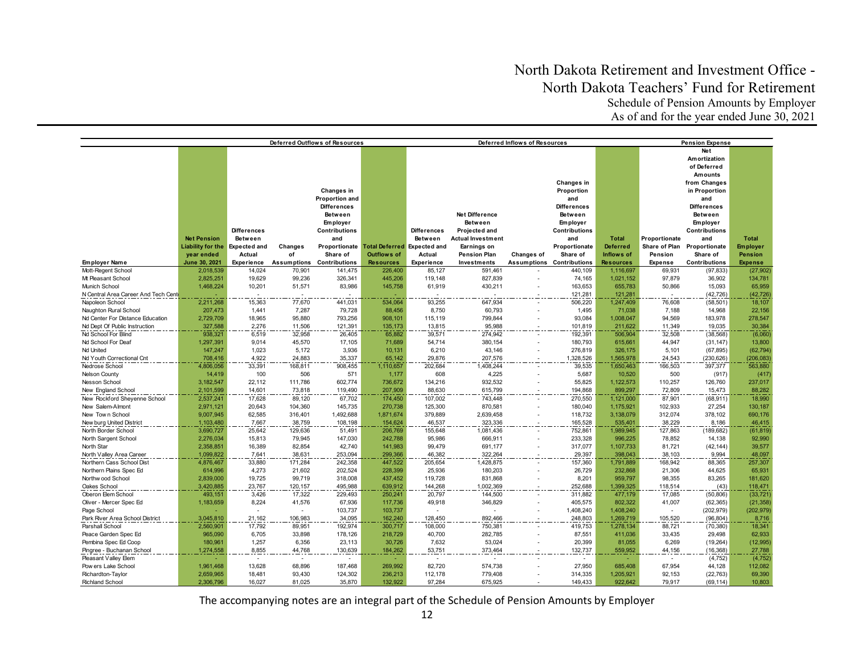|                                              |                                   |                             |                    | Deferred Outflows of Resources              |                                           | Deferred Inflows of Resources |                          |            |                                             |                               |                    | <b>Pension Expense</b>                          |                             |  |
|----------------------------------------------|-----------------------------------|-----------------------------|--------------------|---------------------------------------------|-------------------------------------------|-------------------------------|--------------------------|------------|---------------------------------------------|-------------------------------|--------------------|-------------------------------------------------|-----------------------------|--|
|                                              |                                   |                             |                    |                                             |                                           |                               |                          |            |                                             |                               |                    | Net<br>Amortization<br>of Deferred              |                             |  |
|                                              |                                   |                             |                    | Changes in<br>Proportion and                |                                           |                               |                          |            | Changes in<br>Proportion<br>and             |                               |                    | Amounts<br>from Changes<br>in Proportion<br>and |                             |  |
|                                              |                                   |                             |                    | <b>Differences</b><br><b>Between</b>        |                                           |                               | <b>Net Difference</b>    |            | <b>Differences</b><br>Between               |                               |                    | <b>Differences</b><br>Between                   |                             |  |
|                                              |                                   | <b>Differences</b>          |                    | Employer<br><b>Contributions</b>            |                                           | <b>Differences</b>            | Between<br>Projected and |            | Employer<br><b>Contributions</b>            |                               |                    | Employer<br><b>Contributions</b>                |                             |  |
|                                              | <b>Net Pension</b>                | <b>Between</b>              |                    | and                                         |                                           | Between                       | Actual Investment        |            | and                                         | <b>Total</b>                  | Proportionate      | and                                             | <b>Total</b>                |  |
|                                              | Liability for the Expected and    |                             | Changes            |                                             | Proportionate Total Deferred Expected and |                               | Earnings on              |            | Proportionate                               | <b>Deferred</b>               | Share of Plan      | Proportionate                                   | <b>Employer</b>             |  |
|                                              | year ended                        | Actual                      | of                 | Share of                                    | <b>Outflows of</b>                        | Actual                        | <b>Pension Plan</b>      | Changes of | Share of                                    | Inflows of                    | Pension            | Share of                                        | <b>Pension</b>              |  |
| <b>Employer Name</b><br>Mott-Regent School   | <b>June 30, 2021</b><br>2,018,539 | <b>Experience</b><br>14,024 | 70,901             | <b>Assumptions Contributions</b><br>141,475 | <b>Resources</b><br>226,400               | <b>Experience</b><br>85,127   | Investments<br>591,461   |            | <b>Assumptions Contributions</b><br>440,109 | <b>Resources</b><br>1,116,697 | Expense<br>69,931  | <b>Contributions</b><br>(97, 833)               | <b>Expense</b><br>(27, 902) |  |
| Mt Pleasant School                           | 2,825,251                         | 19,629                      | 99,236             | 326,341                                     | 445,206                                   | 119,148                       | 827,839                  |            | 74,165                                      | 1,021,152                     | 97,879             | 36,902                                          | 134,781                     |  |
| Munich School                                | 1.468.224                         | 10,201                      | 51,571             | 83,986                                      | 145,758                                   | 61,919                        | 430,211                  |            | 163,653                                     | 655,783                       | 50.866             | 15.093                                          | 65,959                      |  |
| N Central Area Career And Tech Cent          |                                   |                             |                    |                                             |                                           |                               |                          |            | 121,281                                     | 121,281                       |                    | (42, 726)                                       | (42, 726)                   |  |
| Napoleon School                              | 2,211,268                         | 15,363                      | 77,670             | 441,031                                     | 534,064                                   | 93,255                        | 647,934                  |            | 506,220                                     | 1,247,409                     | 76,608             | (58, 501)                                       | 18,107                      |  |
| Naughton Rural School                        | 207,473                           | 1,441                       | 7,287              | 79,728                                      | 88,456                                    | 8,750                         | 60,793                   |            | 1,495                                       | 71,038                        | 7,188              | 14,968                                          | 22,156                      |  |
| Nd Center For Distance Education             | 2,729,709                         | 18,965                      | 95,880             | 793,256                                     | 908,101                                   | 115,119                       | 799,844                  |            | 93,084                                      | 1,008,047                     | 94,569             | 183,978                                         | 278,547                     |  |
| Nd Dept Of Public Instruction                | 327,588                           | 2,276                       | 11,506             | 121,391                                     | 135,173                                   | 13,815                        | 95,988                   |            | 101,819                                     | 211,622                       | 11,349             | 19,035                                          | 30,384                      |  |
| Nd School For Blind                          | 938,321                           | 6,519                       | 32,958             | 26,405                                      | 65,882                                    | 39,571                        | 274,942                  |            | 192,391                                     | 506,904                       | 32,508             | (38, 568)                                       | (6,060)                     |  |
| Nd School For Deaf                           | 1,297,391                         | 9,014                       | 45,570             | 17,105                                      | 71,689                                    | 54,714                        | 380,154                  |            | 180,793                                     | 615,661                       | 44,947             | (31, 147)                                       | 13,800                      |  |
| Nd United                                    | 147,247                           | 1,023                       | 5,172              | 3,936                                       | 10,131                                    | 6,210                         | 43,146                   |            | 276,819                                     | 326,175                       | 5,101              | (67, 895)                                       | (62, 794)                   |  |
| Nd Youth Correctional Cnt                    | 708,416                           | 4,922                       | 24,883             | 35,337                                      | 65,142                                    | 29,876                        | 207,576                  |            | 1,328,526                                   | 1,565,978                     | 24,543             | (230, 626)                                      | (206, 083)                  |  |
| Nedrose School                               | 4,806,056                         | 33,391                      | 168,811            | 908,455                                     | 1,110,657                                 | 202,684                       | 1,408,244                |            | 39,535                                      | 1,650,463                     | 166,503            | 397,377                                         | 563,880                     |  |
| <b>Nelson County</b>                         | 14,419                            | 100                         | 506                | 571                                         | 1,177                                     | 608                           | 4,225                    |            | 5,687                                       | 10,520                        | 500                | (917)                                           | (417)                       |  |
| Nesson School                                | 3,182,547                         | 22,112                      | 111,786            | 602,774                                     | 736,672                                   | 134,216                       | 932,532                  |            | 55,825                                      | 1,122,573                     | 110,257            | 126,760                                         | 237,017                     |  |
| New England School                           | 2,101,599                         | 14,601                      | 73,818             | 119,490                                     | 207,909                                   | 88,630                        | 615,799                  |            | 194,868                                     | 899,297                       | 72,809             | 15,473                                          | 88,282                      |  |
| New Rockford Sheyenne School                 | 2,537,241                         | 17,628                      | 89,120             | 67,702                                      | 174,450                                   | 107,002                       | 743,448                  |            | 270,550                                     | 1,121,000                     | 87,901             | (68, 911)                                       | 18,990                      |  |
| New Salem-Almont<br>New Town School          | 2,971,121<br>9,007,945            | 20,643<br>62,585            | 104,360<br>316,401 | 145,735<br>1,492,688                        | 270,738<br>1,871,674                      | 125,300<br>379,889            | 870,581<br>2,639,458     |            | 180,040<br>118,732                          | 1,175,921<br>3,138,079        | 102,933<br>312,074 | 27,254<br>378,102                               | 130,187<br>690,176          |  |
| New burg United District                     | 1,103,480                         | 7,667                       | 38,759             | 108.198                                     | 154,624                                   | 46,537                        | 323.336                  |            | 165,528                                     | 535,401                       | 38,229             | 8,186                                           | 46,415                      |  |
| North Border School                          | 3,690,727                         | 25,642                      | 129,636            | 51,491                                      | 206,769                                   | 155,648                       | 1,081,436                |            | 752,861                                     | 1,989,945                     | 127,863            | (189, 682)                                      | (61, 819)                   |  |
| North Sargent School                         | 2,276,034                         | 15,813                      | 79,945             | 147,030                                     | 242,788                                   | 95,986                        | 666,911                  |            | 233,328                                     | 996,225                       | 78,852             | 14,138                                          | 92,990                      |  |
| North Star                                   | 2,358,851                         | 16,389                      | 82,854             | 42,740                                      | 141,983                                   | 99,479                        | 691,177                  |            | 317,077                                     | 1,107,733                     | 81,721             | (42, 144)                                       | 39,577                      |  |
| North Valley Area Career                     | 1,099,822                         | 7,641                       | 38,631             | 253,094                                     | 299,366                                   | 46,382                        | 322,264                  |            | 29,397                                      | 398,043                       | 38,103             | 9.994                                           | 48,097                      |  |
| Northern Cass School Dist                    | 4,876,467                         | 33,880                      | 171,284            | 242,358                                     | 447,522                                   | 205,654                       | 1,428,875                |            | 157,360                                     | 1,791,889                     | 168,942            | 88,365                                          | 257,307                     |  |
| Northern Plains Spec Ed                      | 614,996                           | 4,273                       | 21,602             | 202,524                                     | 228,399                                   | 25,936                        | 180,203                  |            | 26,729                                      | 232,868                       | 21,306             | 44,625                                          | 65,931                      |  |
| Northw ood School                            | 2,839,000                         | 19,725                      | 99,719             | 318,008                                     | 437,452                                   | 119,728                       | 831,868                  |            | 8,201                                       | 959,797                       | 98,355             | 83,265                                          | 181,620                     |  |
| Oakes School                                 | 3,420,885                         | 23,767                      | 120,157            | 495,988                                     | 639,912                                   | 144,268                       | 1,002,369                |            | 252,688                                     | 1,399,325                     | 118,514            | (43)                                            | 118,471                     |  |
| Oberon Elem School                           | 493,151                           | 3,426                       | 17,322             | 229,493                                     | 250,241                                   | 20,797                        | 144,500                  |            | 311,882                                     | 477,179                       | 17,085             | (50, 806)                                       | (33, 721)                   |  |
| Oliver - Mercer Spec Ed                      | 1,183,659                         | 8,224                       | 41,576             | 67,936                                      | 117,736                                   | 49,918                        | 346,829                  |            | 405,575                                     | 802,322                       | 41,007             | (62, 365)                                       | (21, 358)                   |  |
| Page School                                  |                                   |                             |                    | 103,737                                     | 103,737                                   |                               |                          |            | 1,408,240                                   | 1,408,240                     |                    | (202, 979)                                      | (202, 979)                  |  |
| Park River Area School District              | 3,045,810                         | 21,162                      | 106,983            | 34.095                                      | 162,240                                   | 128,450                       | 892,466                  |            | 248,803                                     | 1,269,719                     | 105,520            | (96, 804)                                       | 8,716                       |  |
| Parshall School                              | 2,560,901                         | 17,792                      | 89,951             | 192,974                                     | 300,717                                   | 108,000                       | 750,381                  |            | 419,753                                     | 1,278,134                     | 88,721             | (70, 380)                                       | 18,341                      |  |
| Peace Garden Spec Ed<br>Pembina Spec Ed Coop | 965,090<br>180,961                | 6,705<br>1,257              | 33,898<br>6,356    | 178,126<br>23,113                           | 218,729<br>30,726                         | 40,700<br>7,632               | 282,785<br>53,024        |            | 87,551<br>20,399                            | 411,036<br>81,055             | 33,435<br>6,269    | 29,498<br>(19, 264)                             | 62,933<br>(12, 995)         |  |
| Pingree - Buchanan School                    | 1,274,558                         | 8,855                       | 44,768             | 130,639                                     | 184,262                                   | 53,751                        | 373,464                  |            | 132,737                                     | 559,952                       | 44,156             | (16, 368)                                       | 27,788                      |  |
| Pleasant Valley Elem                         |                                   | $\sim$                      | $\sim$             | $\overline{\phantom{a}}$                    |                                           | $\sim$                        | $\overline{\phantom{a}}$ |            | $\sim$                                      |                               |                    | (4, 752)                                        | (4, 752)                    |  |
| Pow ers Lake School                          | 1,961,468                         | 13,628                      | 68,896             | 187,468                                     | 269,992                                   | 82,720                        | 574,738                  |            | 27,950                                      | 685,408                       | 67,954             | 44,128                                          | 112,082                     |  |
| Richardton-Taylor                            | 2,659,965                         | 18,481                      | 93,430             | 124,302                                     | 236,213                                   | 112,178                       | 779,408                  |            | 314,335                                     | 1,205,921                     | 92,153             | (22, 763)                                       | 69,390                      |  |
| <b>Richland School</b>                       | 2,306,796                         | 16,027                      | 81,025             | 35,870                                      | 132.922                                   | 97.284                        | 675,925                  |            | 149.433                                     | 922.642                       | 79.917             | (69, 114)                                       | 10,803                      |  |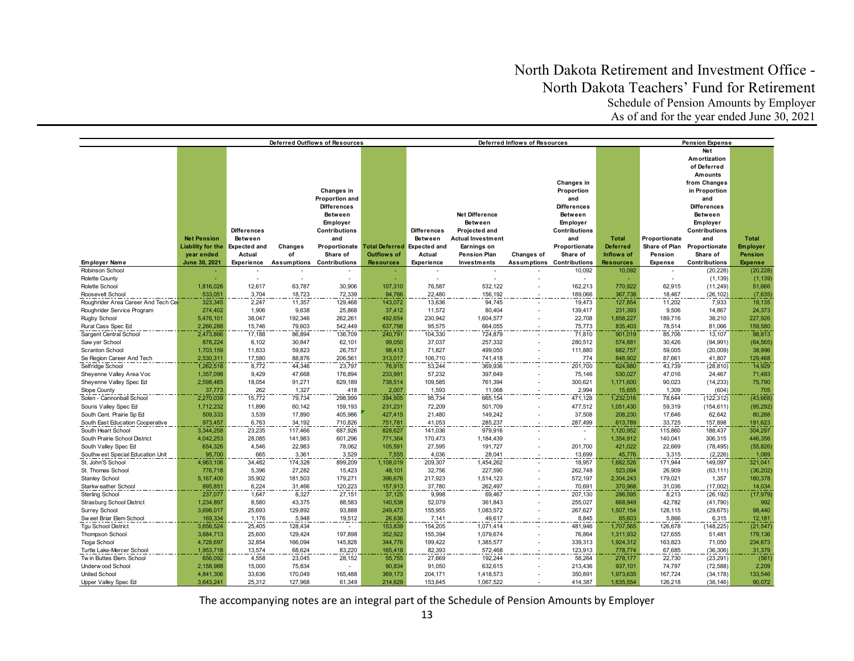|                                              |                             |                               |                   | Deferred Outflows of Resources   |                                                                 |                                                      | Deferred Inflows of Resources           | <b>Pension Expense</b> |                                  |                               |                                            |                           |                   |
|----------------------------------------------|-----------------------------|-------------------------------|-------------------|----------------------------------|-----------------------------------------------------------------|------------------------------------------------------|-----------------------------------------|------------------------|----------------------------------|-------------------------------|--------------------------------------------|---------------------------|-------------------|
|                                              |                             |                               |                   |                                  |                                                                 |                                                      |                                         |                        |                                  |                               |                                            | <b>Net</b>                |                   |
|                                              |                             |                               |                   |                                  |                                                                 |                                                      |                                         |                        |                                  |                               |                                            | Amortization              |                   |
|                                              |                             |                               |                   |                                  |                                                                 |                                                      |                                         |                        |                                  |                               |                                            | of Deferred               |                   |
|                                              |                             |                               |                   |                                  |                                                                 |                                                      |                                         |                        |                                  |                               |                                            | <b>Amounts</b>            |                   |
|                                              |                             |                               |                   |                                  |                                                                 |                                                      |                                         |                        | Changes in                       |                               |                                            | from Changes              |                   |
|                                              |                             |                               |                   | Changes in                       |                                                                 |                                                      |                                         |                        | Proportion                       |                               |                                            | in Proportion             |                   |
|                                              |                             |                               |                   | Proportion and                   |                                                                 |                                                      |                                         |                        | and                              |                               |                                            | and                       |                   |
|                                              |                             |                               |                   | <b>Differences</b>               |                                                                 |                                                      |                                         |                        | <b>Differences</b>               |                               |                                            | <b>Differences</b>        |                   |
|                                              |                             |                               |                   | Between                          |                                                                 |                                                      | Net Difference                          |                        | Between                          |                               |                                            | Between                   |                   |
|                                              |                             |                               |                   | Employer                         |                                                                 |                                                      | Between                                 |                        | Employer                         |                               |                                            | Employer                  |                   |
|                                              |                             | <b>Differences</b>            |                   | <b>Contributions</b>             |                                                                 | <b>Differences</b>                                   | Projected and                           |                        | <b>Contributions</b>             |                               |                                            | Contributions             |                   |
|                                              | <b>Net Pension</b>          |                               |                   |                                  |                                                                 | <b>Between</b>                                       |                                         |                        |                                  |                               |                                            | and                       | <b>Total</b>      |
|                                              |                             | <b>Between</b>                |                   | and                              |                                                                 |                                                      | Actual Investment                       |                        | and<br>Proportionate             | <b>Total</b>                  | Proportionate                              |                           |                   |
|                                              | <b>Liability for the</b>    | <b>Expected and</b><br>Actual | Changes<br>of     | Share of                         | Proportionate Total Deferred Expected and<br><b>Outflows of</b> | Actual                                               | Earnings on<br><b>Pension Plan</b>      |                        | Share of                         | <b>Deferred</b><br>Inflows of | Share of Plan<br>Pension                   | Proportionate<br>Share of | <b>Employer</b>   |
|                                              | year ended<br>June 30, 2021 |                               |                   | <b>Assumptions Contributions</b> | <b>Resources</b>                                                | <b>Experience</b>                                    |                                         | Changes of             | <b>Assumptions Contributions</b> | <b>Resources</b>              |                                            | <b>Contributions</b>      | Pension           |
| <b>Employer Name</b><br>Robinson School      |                             | <b>Experience</b>             |                   | $\overline{\phantom{a}}$         |                                                                 |                                                      | Investments<br>$\overline{\phantom{a}}$ |                        |                                  |                               | <b>Expense</b><br>$\overline{\phantom{a}}$ |                           | <b>Expense</b>    |
|                                              |                             |                               |                   |                                  |                                                                 | $\overline{\phantom{a}}$<br>$\overline{\phantom{a}}$ |                                         |                        | 10,092                           | 10,092                        |                                            | (20, 228)<br>(1, 139)     | (20, 228)         |
| <b>Rolette County</b>                        |                             | 12,617                        | 63,787            | 30,906                           |                                                                 | 76,587                                               | 532,122                                 |                        | 162,213                          |                               | 62,915                                     |                           | (1, 139)          |
| Rolette School                               | 1,816,026                   |                               |                   |                                  | 107,310                                                         |                                                      |                                         |                        |                                  | 770,922                       |                                            | (11, 249)                 | 51,666            |
| Roosevelt School                             | 533,051                     | 3,704<br>2,247                | 18,723            | 72,339                           | 94,766                                                          | 22,480                                               | 156,192                                 |                        | 189,066                          | 367,738                       | 18,467                                     | (26, 102)                 | (7, 635)          |
| Roughrider Area Career And Tech Ce           | 323,345                     |                               | 11,357            | 129,468                          | 143,072                                                         | 13,636                                               | 94,745                                  |                        | 19,473                           | 127,854                       | 11,202<br>9.506                            | 7,933                     | 19,135            |
| Roughrider Service Program                   | 274,402                     | 1,906<br>38,047               | 9,638             | 25,868                           | 37,412<br>492,654                                               | 11,572<br>230,942                                    | 80,404                                  |                        | 139,417                          | 231.393<br>1,858,227          | 189,716                                    | 14,867<br>38,210          | 24,373<br>227,926 |
| Rugby School                                 | 5,476,101                   |                               | 192,346<br>79,603 | 262,261<br>542,449               |                                                                 |                                                      | 1,604,577                               |                        | 22,708                           |                               |                                            | 81.066                    |                   |
| Rural Cass Spec Ed                           | 2,266,288                   | 15,746                        |                   |                                  | 637,798                                                         | 95,575                                               | 664,055                                 |                        | 75,773                           | 835,403                       | 78,514                                     |                           | 159,580<br>98,813 |
| Sargent Central School                       | 2,473,866                   | 17,188                        | 86,894            | 136,709                          | 240,791                                                         | 104,330                                              | 724,879                                 |                        | 71,810                           | 901,019                       | 85,706                                     | 13,107                    |                   |
| Saw yer School<br><b>Scranton School</b>     | 878,224                     | 6,102                         | 30,847            | 62,101                           | 99,050                                                          | 37,037                                               | 257,332                                 |                        | 280,512                          | 574,881<br>682,757            | 30,426                                     | (94, 991)                 | (64, 565)         |
|                                              | 1,703,159<br>2,530,311      | 11,833<br>17,580              | 59,823<br>88,876  | 26,757<br>206,561                | 98,413<br>313,017                                               | 71,827<br>106,710                                    | 499,050<br>741,418                      |                        | 111,880<br>774                   | 848,902                       | 59,005<br>87,661                           | (20,009)<br>41,807        | 38,996<br>129,468 |
| Se Region Career And Tech                    | 1,262,518                   | 8,772                         | 44,346            |                                  | 76,915                                                          | 53,244                                               |                                         |                        | 201,700                          | 624,880                       | 43,739                                     |                           | 14,929            |
| Selfridge School<br>Sheyenne Valley Area Voc | 1,357,098                   | 9,429                         | 47,668            | 23,797<br>176,894                | 233,991                                                         | 57,232                                               | 369,936<br>397,649                      |                        | 75,146                           | 530,027                       | 47,016                                     | (28, 810)<br>24,467       | 71,483            |
| Sheyenne Valley Spec Ed                      | 2,598,485                   | 18,054                        | 91,271            | 629,189                          | 738,514                                                         | 109,585                                              | 761,394                                 |                        | 300,621                          | 1,171,600                     | 90,023                                     | (14, 233)                 | 75,790            |
| Slope County                                 | 37,773                      | 262                           | 1,327             | 418                              | 2,007                                                           | 1,593                                                | 11,068                                  |                        | 2,994                            | 15,655                        | 1,309                                      | (604)                     | 705               |
| Solen - Cannonball School                    | 2,270,039                   | 15,772                        | 79,734            | 298,999                          | 394,505                                                         | 95,734                                               | 665,154                                 |                        | 471,128                          | 1,232,016                     | 78,644                                     | (122, 312)                | (43, 668)         |
| Souris Valley Spec Ed                        | 1,712,232                   | 11,896                        | 60,142            | 159,193                          | 231,231                                                         | 72,209                                               | 501,709                                 |                        | 477,512                          | 1,051,430                     | 59,319                                     | (154, 611)                | (95, 292)         |
| South Cent. Prairie Sp Ed                    | 509,333                     | 3,539                         | 17,890            | 405,986                          | 427,415                                                         | 21,480                                               | 149,242                                 |                        | 37,508                           | 208,230                       | 17,646                                     | 62,642                    | 80,288            |
| South East Education Cooperative             | 973,457                     | 6,763                         | 34,192            | 710,826                          | 751,781                                                         | 41,053                                               | 285,237                                 |                        | 287,499                          | 613,789                       | 33,725                                     | 157,898                   | 191,623           |
| South Heart School                           | 3,344,258                   | 23,235                        | 117,466           | 687,926                          | 828,627                                                         | 141,036                                              | 979,916                                 |                        |                                  | 1,120,952                     | 115,860                                    | 188,437                   | 304,297           |
| South Prairie School District                | 4,042,253                   | 28,085                        | 141,983           | 601,296                          | 771,364                                                         | 170,473                                              | 1,184,439                               |                        |                                  | 1,354,912                     | 140,041                                    | 306,315                   | 446,356           |
| South Valley Spec Ed                         | 654,326                     | 4,546                         | 22,983            | 78,062                           | 105,591                                                         | 27,595                                               | 191,727                                 |                        | 201,700                          | 421,022                       | 22,669                                     | (78, 495)                 | (55, 826)         |
| Southw est Special Education Unit            | 95,700                      | 665                           | 3,361             | 3,529                            | 7,555                                                           | 4,036                                                | 28,041                                  |                        | 13,699                           | 45,776                        | 3,315                                      | (2, 226)                  | 1,089             |
| St. John'S School                            | 4,963,106                   | 34,482                        | 174,328           | 899,209                          | 1,108,019                                                       | 209,307                                              | 1,454,262                               |                        | 18,957                           | 1,682,526                     | 171,944                                    | 149,097                   | 321,041           |
| St. Thomas School                            | 776,718                     | 5,396                         | 27,282            | 15,423                           | 48,101                                                          | 32,756                                               | 227,590                                 |                        | 262,748                          | 523,094                       | 26,909                                     | (63, 111)                 | (36, 202)         |
| <b>Stanley School</b>                        | 5,167,400                   | 35,902                        | 181,503           | 179,271                          | 396,676                                                         | 217,923                                              | 1,514,123                               |                        | 572,197                          | 2,304,243                     | 179,021                                    | 1,357                     | 180,378           |
| Starkw eather School                         | 895,851                     | 6,224                         | 31,466            | 120,223                          | 157,913                                                         | 37,780                                               | 262,497                                 |                        | 70,691                           | 370,968                       | 31,036                                     | (17,002)                  | 14,034            |
| <b>Sterling School</b>                       | 237,077                     | 1,647                         | 8,327             | 27,151                           | 37,125                                                          | 9,998                                                | 69,467                                  |                        | 207,130                          | 286,595                       | 8,213                                      | (26, 192)                 | (17, 979)         |
| <b>Strasburg School District</b>             | 1,234,897                   | 8,580                         | 43,375            | 88,583                           | 140,538                                                         | 52,079                                               | 361,843                                 |                        | 255,027                          | 668,949                       | 42,782                                     | (41, 790)                 | 992               |
| <b>Surrey School</b>                         | 3,698,017                   | 25,693                        | 129,892           | 93,888                           | 249,473                                                         | 155,955                                              | 1,083,572                               |                        | 267,627                          | 1,507,154                     | 128,115                                    | (29, 675)                 | 98,440            |
| Sweet Briar Elem School                      | 169,334                     | 1,176                         | 5,948             | 19,512                           | 26,636                                                          | 7,141                                                | 49,617                                  |                        | 8,845                            | 65,603                        | 5,866                                      | 6,315                     | 12,181            |
| <b>Tgu School District</b>                   | 3,656,524                   | 25,405                        | 128,434           |                                  | 153,839                                                         | 154,205                                              | 1,071,414                               |                        | 481,946                          | 1,707,565                     | 126,678                                    | (148, 225)                | (21, 547)         |
| <b>Thompson School</b>                       | 3,684,713                   | 25,600                        | 129,424           | 197,898                          | 352,922                                                         | 155,394                                              | 1,079,674                               |                        | 76,864                           | 1,311,932                     | 127,655                                    | 51,481                    | 179,136           |
| <b>Tioga School</b>                          | 4,728,697                   | 32,854                        | 166,094           | 145,828                          | 344,776                                                         | 199,422                                              | 1,385,577                               |                        | 339,313                          | 1,924,312                     | 163,823                                    | 71,050                    | 234,873           |
| Turtle Lake-Mercer School                    | 1,953,718                   | 13,574                        | 68,624            | 83,220                           | 165,418                                                         | 82,393                                               | 572,468                                 |                        | 123,913                          | 778,774                       | 67,685                                     | (36, 306)                 | 31,379            |
| Twin Buttes Elem. School                     | 656,092                     | 4,558                         | 23,045            | 28,152                           | 55,755                                                          | 27,669                                               | 192,244                                 |                        | 58,264                           | 278,177                       | 22,730                                     | (23, 291)                 | (561)             |
| Underw ood School                            | 2,158,988                   | 15,000                        | 75,834            |                                  | 90,834                                                          | 91,050                                               | 632,615                                 |                        | 213,436                          | 937,101                       | 74,797                                     | (72, 588)                 | 2,209             |
| <b>United School</b>                         | 4,841,306                   | 33,636                        | 170,049           | 165,488                          | 369,173                                                         | 204,171                                              | 1,418,573                               |                        | 350,891                          | 1.973.635                     | 167,724                                    | (34, 178)                 | 133,546           |
| Upper Valley Spec Ed                         | 3,643,241                   | 25,312                        | 127,968           | 61,349                           | 214,629                                                         | 153,645                                              | 1,067,522                               |                        | 414,387                          | 1,635,554                     | 126,218                                    | (36, 146)                 | 90,072            |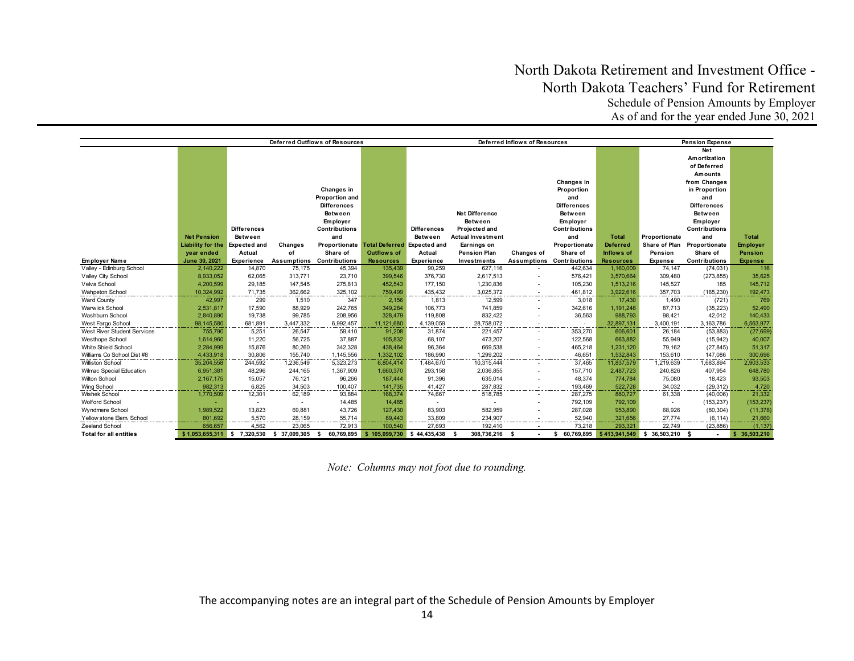|                                                  | Deferred Outflows of Resources |                     |                     |                                  |                                           | Deferred Inflows of Resources<br><b>Pension Expense</b> |                          |            |                                  |                       |                          |                        |                        |
|--------------------------------------------------|--------------------------------|---------------------|---------------------|----------------------------------|-------------------------------------------|---------------------------------------------------------|--------------------------|------------|----------------------------------|-----------------------|--------------------------|------------------------|------------------------|
|                                                  |                                |                     |                     |                                  |                                           |                                                         |                          |            |                                  |                       |                          | Net                    |                        |
|                                                  |                                |                     |                     |                                  |                                           |                                                         |                          |            |                                  |                       |                          | Amortization           |                        |
|                                                  |                                |                     |                     |                                  |                                           |                                                         |                          |            |                                  |                       |                          | of Deferred            |                        |
|                                                  |                                |                     |                     |                                  |                                           |                                                         |                          |            |                                  |                       |                          | <b>Amounts</b>         |                        |
|                                                  |                                |                     |                     |                                  |                                           |                                                         |                          |            | Changes in                       |                       |                          | from Changes           |                        |
|                                                  |                                |                     |                     | Changes in                       |                                           |                                                         |                          |            | Proportion                       |                       |                          | in Proportion          |                        |
|                                                  |                                |                     |                     | Proportion and                   |                                           |                                                         |                          |            | and                              |                       |                          | and                    |                        |
|                                                  |                                |                     |                     | <b>Differences</b>               |                                           |                                                         |                          |            | <b>Differences</b>               |                       |                          | <b>Differences</b>     |                        |
|                                                  |                                |                     |                     | Between                          |                                           |                                                         | Net Difference           |            | Between                          |                       |                          | <b>Between</b>         |                        |
|                                                  |                                |                     |                     | Employer                         |                                           |                                                         | Between                  |            | Employer                         |                       |                          | Employer               |                        |
|                                                  |                                | <b>Differences</b>  |                     | <b>Contributions</b>             |                                           | <b>Differences</b>                                      | Projected and            |            | <b>Contributions</b>             |                       |                          | <b>Contributions</b>   |                        |
|                                                  | <b>Net Pension</b>             | <b>Between</b>      |                     | and                              |                                           | Between                                                 | <b>Actual Investment</b> |            | and                              | <b>Total</b>          | Proportionate            | and                    | <b>Total</b>           |
|                                                  | Liability for the              | <b>Expected and</b> | Changes             |                                  | Proportionate Total Deferred Expected and |                                                         | Earnings on              |            | Proportionate                    | <b>Deferred</b>       | Share of Plan            | Proportionate          | <b>Employer</b>        |
|                                                  | year ended                     | Actual              | of                  | Share of                         | <b>Outflows of</b>                        | Actual                                                  | <b>Pension Plan</b>      | Changes of | Share of                         | <b>Inflows of</b>     | Pension                  | Share of               | <b>Pension</b>         |
| <b>Employer Name</b>                             | June 30, 2021                  | Experience          |                     | <b>Assumptions Contributions</b> | <b>Resources</b>                          | Experience                                              | Investments              |            | <b>Assumptions Contributions</b> | <b>Resources</b>      | Expense                  | Contributions          | <b>Expense</b>         |
| Valley - Edinburg School                         | 2,140,222                      | 14,870              | 75,175              | 45,394                           | 135,439                                   | 90,259                                                  | 627,116                  |            | 442,634                          | 1,160,009             | 74,147                   | (74, 031)              | 116                    |
| Valley City School                               | 8,933,052                      | 62,065              | 313,771             | 23,710                           | 399,546                                   | 376,730                                                 | 2,617,513                |            | 576,421                          | 3,570,664             | 309,480                  | (273, 855)             | 35,625                 |
| Velva School                                     | 4,200,599                      | 29,185              | 147,545             | 275,813                          | 452,543                                   | 177,150                                                 | 1,230,836                |            | 105,230                          | 1,513,216             | 145,527                  | 185                    | 145,712                |
| <b>Wahpeton School</b>                           | 10.324.992                     | 71.735              | 362,662             | 325,102                          | 759.499                                   | 435.432                                                 | 3,025,372                |            | 461,812                          | 3.922.616             | 357.703                  | (165, 230)             | 192,473                |
| <b>Ward County</b>                               | 42,997                         | 299                 | 1,510               | 347                              | 2,156                                     | 1,813                                                   | 12,599                   |            | 3,018                            | 17.430                | 1,490                    | (721)                  | 769                    |
| Warw ick School                                  | 2,531,817                      | 17,590              | 88,929              | 242,765                          | 349,284                                   | 106,773                                                 | 741,859                  |            | 342,616                          | 1,191,248             | 87,713                   | (35, 223)              | 52,490                 |
| Washburn School                                  | 2,840,890                      | 19,738              | 99,785              | 208,956                          | 328,479                                   | 119,808                                                 | 832,422                  |            | 36,563                           | 988,793               | 98,421                   | 42,012                 | 140,433                |
| West Fargo School<br>West River Student Services | 98,145,580<br>755.790          | 681,891<br>5,251    | 3,447,332<br>26,547 | 6,992,457<br>59,410              | 11,121,680<br>91,208                      | 4,139,059<br>31,874                                     | 28,758,072<br>221,457    |            | 353,270                          | 32,897,131<br>606,601 | 3,400,191<br>26,184      | 3,163,786              | 6,563,977<br>(27, 699) |
| Westhope School                                  | 1,614,960                      | 11.220              | 56,725              | 37,887                           | 105,832                                   | 68,107                                                  | 473,207                  |            | 122,568                          | 663.882               | 55,949                   | (53, 883)<br>(15, 942) | 40,007                 |
| White Shield School                              | 2,284,999                      | 15,876              | 80,260              | 342,328                          | 438,464                                   | 96,364                                                  | 669,538                  |            | 465,218                          | 1,231,120             | 79,162                   | (27, 845)              | 51,317                 |
| Williams Co School Dist #8                       | 4,433,918                      | 30,806              | 155,740             | 1,145,556                        | 1,332,102                                 | 186,990                                                 | 1,299,202                |            | 46,651                           | 1.532.843             | 153,610                  | 147,086                | 300,696                |
| <b>Williston School</b>                          | 35,204,558                     | 244,592             | 1,236,549           | 5,323,273                        | 6,804,414                                 | 1,484,670                                               | 10,315,444               |            | 37,465                           | 11,837,579            | 1,219,639                | 1,683,894              | 2,903,533              |
| Wilmac Special Education                         | 6,951,381                      | 48,296              | 244,165             | 1,367,909                        | 1,660,370                                 | 293,158                                                 | 2,036,855                |            | 157,710                          | 2,487,723             | 240,826                  | 407,954                | 648,780                |
| Wilton School                                    | 2,167,175                      | 15,057              | 76,121              | 96,266                           | 187,444                                   | 91,396                                                  | 635,014                  |            | 48,374                           | 774,784               | 75,080                   | 18,423                 | 93,503                 |
| Wing School                                      | 982.313                        | 6.825               | 34.503              | 100,407                          | 141.735                                   | 41,427                                                  | 287,832                  |            | 193,469                          | 522.728               | 34.032                   | (29, 312)              | 4,720                  |
| <b>Wishek School</b>                             | 1,770,509                      | 12,301              | 62,189              | 93.884                           | 168,374                                   | 74,667                                                  | 518,785                  |            | 287.275                          | 880.727               | 61,338                   | (40,006)               | 21,332                 |
| <b>Wolford School</b>                            |                                |                     |                     | 14,485                           | 14,485                                    | $\overline{\phantom{a}}$                                | $\overline{\phantom{a}}$ |            | 792,109                          | 792,109               | $\overline{\phantom{a}}$ | (153, 237)             | (153, 237)             |
| Wyndmere School                                  | 1,989,522                      | 13,823              | 69,881              | 43,726                           | 127,430                                   | 83,903                                                  | 582,959                  |            | 287,028                          | 953,890               | 68,926                   | (80, 304)              | (11, 378)              |
| Yellow stone Elem. School                        | 801,692                        | 5,570               | 28,159              | 55,714                           | 89,443                                    | 33,809                                                  | 234,907                  |            | 52,940                           | 321,656               | 27.774                   | (6, 114)               | 21,660                 |
| Zeeland School                                   | 656,657                        | 4,562               | 23,065              | 72,913                           | 100,540                                   | 27,693                                                  | 192,410                  |            | 73,218                           | 293,321               | 22,749                   | (23, 886)              | (1, 137)               |
| <b>Total for all entities</b>                    | \$1,053,655,311                | 7,320,530<br>s.     | \$37.009.305        | 60,769,895                       | \$105,099,730                             | 44.435.438<br>5                                         | 308,736,216              | - \$       | 60,769,895<br>s                  | \$413,941,549         | 36,503,210 \$<br>s.      |                        | 36,503,210             |

*Note: Columns may not foot due to rounding.*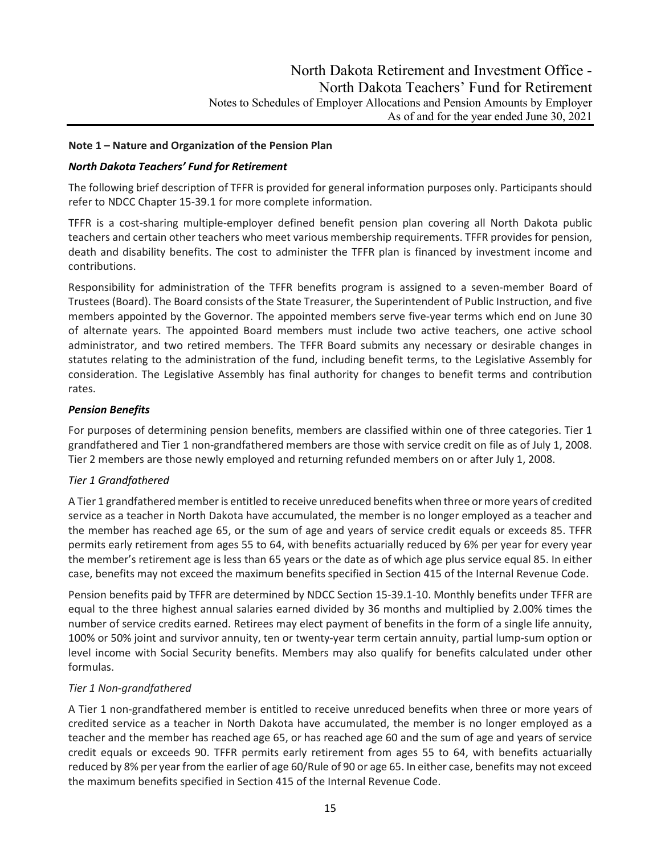## **Note 1 – Nature and Organization of the Pension Plan**

## *North Dakota Teachers' Fund for Retirement*

The following brief description of TFFR is provided for general information purposes only. Participants should refer to NDCC Chapter 15-39.1 for more complete information.

TFFR is a cost-sharing multiple-employer defined benefit pension plan covering all North Dakota public teachers and certain other teachers who meet various membership requirements. TFFR provides for pension, death and disability benefits. The cost to administer the TFFR plan is financed by investment income and contributions.

Responsibility for administration of the TFFR benefits program is assigned to a seven-member Board of Trustees (Board). The Board consists of the State Treasurer, the Superintendent of Public Instruction, and five members appointed by the Governor. The appointed members serve five-year terms which end on June 30 of alternate years. The appointed Board members must include two active teachers, one active school administrator, and two retired members. The TFFR Board submits any necessary or desirable changes in statutes relating to the administration of the fund, including benefit terms, to the Legislative Assembly for consideration. The Legislative Assembly has final authority for changes to benefit terms and contribution rates.

## *Pension Benefits*

For purposes of determining pension benefits, members are classified within one of three categories. Tier 1 grandfathered and Tier 1 non-grandfathered members are those with service credit on file as of July 1, 2008. Tier 2 members are those newly employed and returning refunded members on or after July 1, 2008.

#### *Tier 1 Grandfathered*

A Tier 1 grandfathered member is entitled to receive unreduced benefits when three or more years of credited service as a teacher in North Dakota have accumulated, the member is no longer employed as a teacher and the member has reached age 65, or the sum of age and years of service credit equals or exceeds 85. TFFR permits early retirement from ages 55 to 64, with benefits actuarially reduced by 6% per year for every year the member's retirement age is less than 65 years or the date as of which age plus service equal 85. In either case, benefits may not exceed the maximum benefits specified in Section 415 of the Internal Revenue Code.

Pension benefits paid by TFFR are determined by NDCC Section 15-39.1-10. Monthly benefits under TFFR are equal to the three highest annual salaries earned divided by 36 months and multiplied by 2.00% times the number of service credits earned. Retirees may elect payment of benefits in the form of a single life annuity, 100% or 50% joint and survivor annuity, ten or twenty-year term certain annuity, partial lump-sum option or level income with Social Security benefits. Members may also qualify for benefits calculated under other formulas.

#### *Tier 1 Non-grandfathered*

A Tier 1 non-grandfathered member is entitled to receive unreduced benefits when three or more years of credited service as a teacher in North Dakota have accumulated, the member is no longer employed as a teacher and the member has reached age 65, or has reached age 60 and the sum of age and years of service credit equals or exceeds 90. TFFR permits early retirement from ages 55 to 64, with benefits actuarially reduced by 8% per year from the earlier of age 60/Rule of 90 or age 65. In either case, benefits may not exceed the maximum benefits specified in Section 415 of the Internal Revenue Code.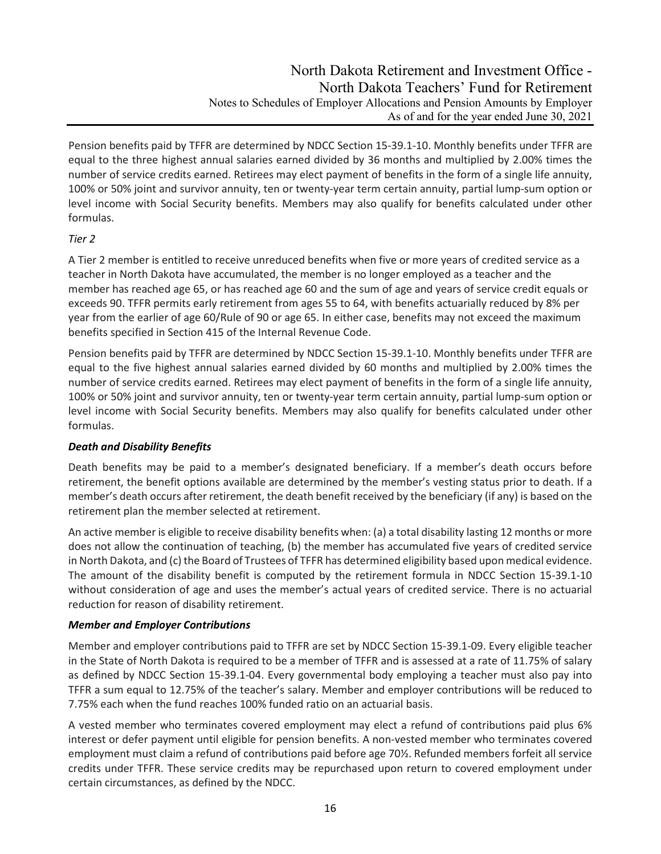Pension benefits paid by TFFR are determined by NDCC Section 15-39.1-10. Monthly benefits under TFFR are equal to the three highest annual salaries earned divided by 36 months and multiplied by 2.00% times the number of service credits earned. Retirees may elect payment of benefits in the form of a single life annuity, 100% or 50% joint and survivor annuity, ten or twenty-year term certain annuity, partial lump-sum option or level income with Social Security benefits. Members may also qualify for benefits calculated under other formulas.

## *Tier 2*

A Tier 2 member is entitled to receive unreduced benefits when five or more years of credited service as a teacher in North Dakota have accumulated, the member is no longer employed as a teacher and the member has reached age 65, or has reached age 60 and the sum of age and years of service credit equals or exceeds 90. TFFR permits early retirement from ages 55 to 64, with benefits actuarially reduced by 8% per year from the earlier of age 60/Rule of 90 or age 65. In either case, benefits may not exceed the maximum benefits specified in Section 415 of the Internal Revenue Code.

Pension benefits paid by TFFR are determined by NDCC Section 15-39.1-10. Monthly benefits under TFFR are equal to the five highest annual salaries earned divided by 60 months and multiplied by 2.00% times the number of service credits earned. Retirees may elect payment of benefits in the form of a single life annuity, 100% or 50% joint and survivor annuity, ten or twenty-year term certain annuity, partial lump-sum option or level income with Social Security benefits. Members may also qualify for benefits calculated under other formulas.

## *Death and Disability Benefits*

Death benefits may be paid to a member's designated beneficiary. If a member's death occurs before retirement, the benefit options available are determined by the member's vesting status prior to death. If a member's death occurs after retirement, the death benefit received by the beneficiary (if any) is based on the retirement plan the member selected at retirement.

An active member is eligible to receive disability benefits when: (a) a total disability lasting 12 months or more does not allow the continuation of teaching, (b) the member has accumulated five years of credited service in North Dakota, and (c) the Board of Trustees of TFFR has determined eligibility based upon medical evidence. The amount of the disability benefit is computed by the retirement formula in NDCC Section 15-39.1-10 without consideration of age and uses the member's actual years of credited service. There is no actuarial reduction for reason of disability retirement.

## *Member and Employer Contributions*

Member and employer contributions paid to TFFR are set by NDCC Section 15-39.1-09. Every eligible teacher in the State of North Dakota is required to be a member of TFFR and is assessed at a rate of 11.75% of salary as defined by NDCC Section 15-39.1-04. Every governmental body employing a teacher must also pay into TFFR a sum equal to 12.75% of the teacher's salary. Member and employer contributions will be reduced to 7.75% each when the fund reaches 100% funded ratio on an actuarial basis.

A vested member who terminates covered employment may elect a refund of contributions paid plus 6% interest or defer payment until eligible for pension benefits. A non-vested member who terminates covered employment must claim a refund of contributions paid before age 70½. Refunded members forfeit all service credits under TFFR. These service credits may be repurchased upon return to covered employment under certain circumstances, as defined by the NDCC.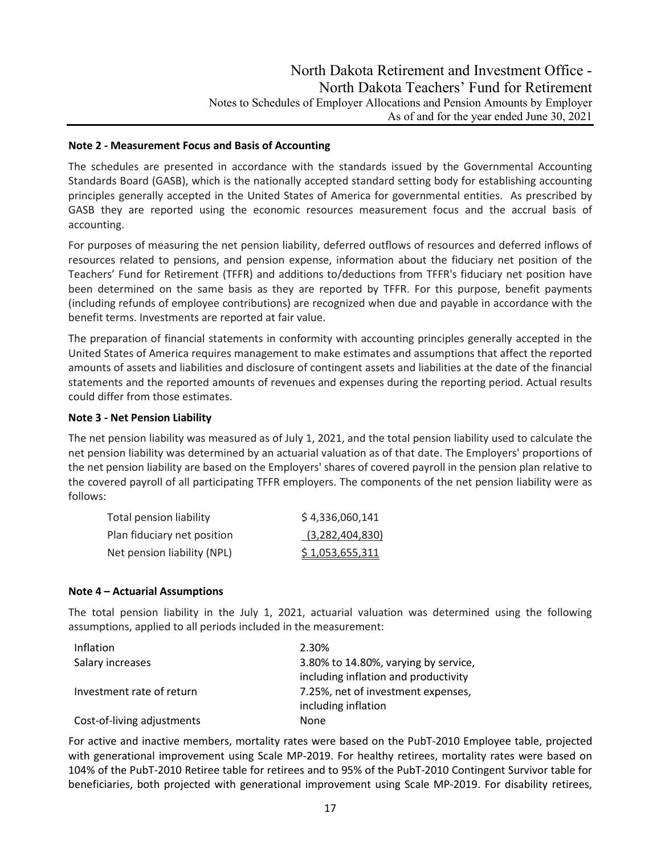#### **Note 2 - Measurement Focus and Basis of Accounting**

The schedules are presented in accordance with the standards issued by the Governmental Accounting Standards Board (GASB), which is the nationally accepted standard setting body for establishing accounting principles generally accepted in the United States of America for governmental entities. As prescribed by GASB they are reported using the economic resources measurement focus and the accrual basis of accounting.

For purposes of measuring the net pension liability, deferred outflows of resources and deferred inflows of resources related to pensions, and pension expense, information about the fiduciary net position of the Teachers' Fund for Retirement (TFFR) and additions to/deductions from TFFR's fiduciary net position have been determined on the same basis as they are reported by TFFR. For this purpose, benefit payments (including refunds of employee contributions) are recognized when due and payable in accordance with the benefit terms. Investments are reported at fair value.

The preparation of financial statements in conformity with accounting principles generally accepted in the United States of America requires management to make estimates and assumptions that affect the reported amounts of assets and liabilities and disclosure of contingent assets and liabilities at the date of the financial statements and the reported amounts of revenues and expenses during the reporting period. Actual results could differ from those estimates.

## **Note 3 - Net Pension Liability**

The net pension liability was measured as of July 1, 2021, and the total pension liability used to calculate the net pension liability was determined by an actuarial valuation as of that date. The Employers' proportions of the net pension liability are based on the Employers' shares of covered payroll in the pension plan relative to the covered payroll of all participating TFFR employers. The components of the net pension liability were as follows:

| Total pension liability     | \$4,336,060,141 |
|-----------------------------|-----------------|
| Plan fiduciary net position | (3,282,404,830) |
| Net pension liability (NPL) | \$1,053,655,311 |

#### **Note 4 – Actuarial Assumptions**

The total pension liability in the July 1, 2021, actuarial valuation was determined using the following assumptions, applied to all periods included in the measurement:

| Inflation                  | 2.30%                                |
|----------------------------|--------------------------------------|
| Salary increases           | 3.80% to 14.80%, varying by service, |
|                            | including inflation and productivity |
| Investment rate of return  | 7.25%, net of investment expenses,   |
|                            | including inflation                  |
| Cost-of-living adjustments | None                                 |

For active and inactive members, mortality rates were based on the PubT-2010 Employee table, projected with generational improvement using Scale MP-2019. For healthy retirees, mortality rates were based on 104% of the PubT-2010 Retiree table for retirees and to 95% of the PubT-2010 Contingent Survivor table for beneficiaries, both projected with generational improvement using Scale MP-2019. For disability retirees,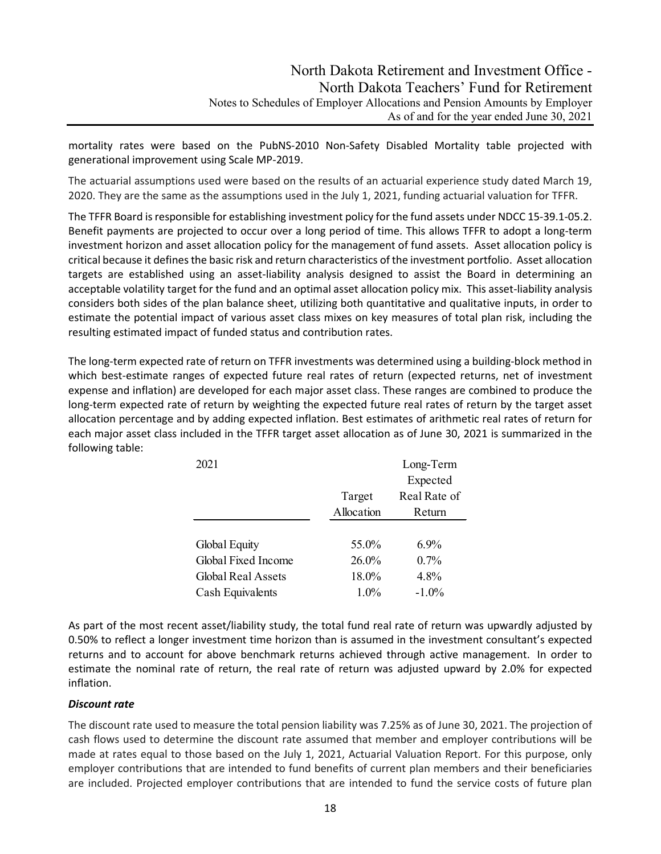mortality rates were based on the PubNS-2010 Non-Safety Disabled Mortality table projected with generational improvement using Scale MP-2019.

The actuarial assumptions used were based on the results of an actuarial experience study dated March 19, 2020. They are the same as the assumptions used in the July 1, 2021, funding actuarial valuation for TFFR.

The TFFR Board is responsible for establishing investment policy for the fund assets under NDCC 15-39.1-05.2. Benefit payments are projected to occur over a long period of time. This allows TFFR to adopt a long-term investment horizon and asset allocation policy for the management of fund assets. Asset allocation policy is critical because it defines the basic risk and return characteristics of the investment portfolio. Asset allocation targets are established using an asset-liability analysis designed to assist the Board in determining an acceptable volatility target for the fund and an optimal asset allocation policy mix. This asset-liability analysis considers both sides of the plan balance sheet, utilizing both quantitative and qualitative inputs, in order to estimate the potential impact of various asset class mixes on key measures of total plan risk, including the resulting estimated impact of funded status and contribution rates.

The long-term expected rate of return on TFFR investments was determined using a building-block method in which best-estimate ranges of expected future real rates of return (expected returns, net of investment expense and inflation) are developed for each major asset class. These ranges are combined to produce the long-term expected rate of return by weighting the expected future real rates of return by the target asset allocation percentage and by adding expected inflation. Best estimates of arithmetic real rates of return for each major asset class included in the TFFR target asset allocation as of June 30, 2021 is summarized in the following table:

| 2021                      |            | Long-Term    |
|---------------------------|------------|--------------|
|                           |            | Expected     |
|                           | Target     | Real Rate of |
|                           | Allocation | Return       |
|                           |            |              |
| Global Equity             | 55.0%      | 6.9%         |
| Global Fixed Income       | 26.0%      | 0.7%         |
| <b>Global Real Assets</b> | 18.0%      | 4.8%         |
| Cash Equivalents          | $1.0\%$    | $-1.0\%$     |

As part of the most recent asset/liability study, the total fund real rate of return was upwardly adjusted by 0.50% to reflect a longer investment time horizon than is assumed in the investment consultant's expected returns and to account for above benchmark returns achieved through active management. In order to estimate the nominal rate of return, the real rate of return was adjusted upward by 2.0% for expected inflation.

#### *Discount rate*

The discount rate used to measure the total pension liability was 7.25% as of June 30, 2021. The projection of cash flows used to determine the discount rate assumed that member and employer contributions will be made at rates equal to those based on the July 1, 2021, Actuarial Valuation Report. For this purpose, only employer contributions that are intended to fund benefits of current plan members and their beneficiaries are included. Projected employer contributions that are intended to fund the service costs of future plan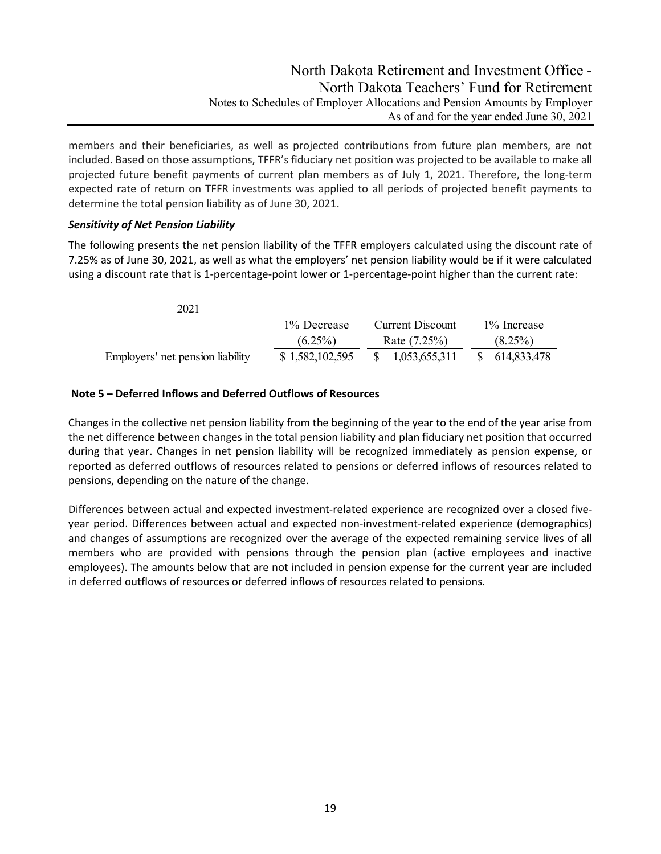members and their beneficiaries, as well as projected contributions from future plan members, are not included. Based on those assumptions, TFFR's fiduciary net position was projected to be available to make all projected future benefit payments of current plan members as of July 1, 2021. Therefore, the long-term expected rate of return on TFFR investments was applied to all periods of projected benefit payments to determine the total pension liability as of June 30, 2021.

## *Sensitivity of Net Pension Liability*

The following presents the net pension liability of the TFFR employers calculated using the discount rate of 7.25% as of June 30, 2021, as well as what the employers' net pension liability would be if it were calculated using a discount rate that is 1-percentage-point lower or 1-percentage-point higher than the current rate:

| 2021                             |                 |                     |                |
|----------------------------------|-----------------|---------------------|----------------|
|                                  | 1% Decrease     | Current Discount    | 1\% Increase   |
|                                  | $(6.25\%)$      | Rate (7.25%)        | $(8.25\%)$     |
| Employers' net pension liability | \$1,582,102,595 | 1,053,655,311<br>S. | \$ 614,833,478 |

## **Note 5 – Deferred Inflows and Deferred Outflows of Resources**

Changes in the collective net pension liability from the beginning of the year to the end of the year arise from the net difference between changes in the total pension liability and plan fiduciary net position that occurred during that year. Changes in net pension liability will be recognized immediately as pension expense, or reported as deferred outflows of resources related to pensions or deferred inflows of resources related to pensions, depending on the nature of the change.

Differences between actual and expected investment-related experience are recognized over a closed fiveyear period. Differences between actual and expected non-investment-related experience (demographics) and changes of assumptions are recognized over the average of the expected remaining service lives of all members who are provided with pensions through the pension plan (active employees and inactive employees). The amounts below that are not included in pension expense for the current year are included in deferred outflows of resources or deferred inflows of resources related to pensions.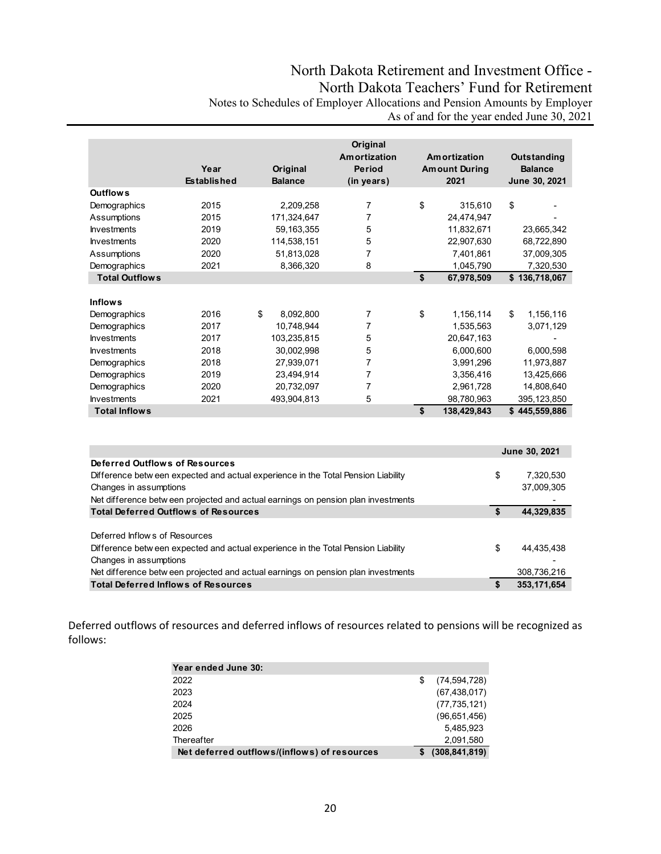|                       |                    |                 | Original            |                      |                    |
|-----------------------|--------------------|-----------------|---------------------|----------------------|--------------------|
|                       |                    |                 | <b>Amortization</b> | Amortization         | <b>Outstanding</b> |
|                       | Year               | Original        | <b>Period</b>       | <b>Amount During</b> | <b>Balance</b>     |
|                       | <b>Established</b> | <b>Balance</b>  | (in years)          | 2021                 | June 30, 2021      |
| <b>Outflows</b>       |                    |                 |                     |                      |                    |
| Demographics          | 2015               | 2,209,258       | 7                   | \$<br>315,610        | \$                 |
| Assumptions           | 2015               | 171,324,647     | 7                   | 24,474,947           |                    |
| <b>Investments</b>    | 2019               | 59, 163, 355    | 5                   | 11,832,671           | 23,665,342         |
| <b>Investments</b>    | 2020               | 114,538,151     | 5                   | 22,907,630           | 68,722,890         |
| Assumptions           | 2020               | 51,813,028      | 7                   | 7,401,861            | 37,009,305         |
| Demographics          | 2021               | 8,366,320       | 8                   | 1,045,790            | 7,320,530          |
| <b>Total Outflows</b> |                    |                 |                     | \$<br>67,978,509     | \$136,718,067      |
|                       |                    |                 |                     |                      |                    |
| <b>Inflows</b>        |                    |                 |                     |                      |                    |
| Demographics          | 2016               | \$<br>8,092,800 | 7                   | \$<br>1,156,114      | \$<br>1,156,116    |
| Demographics          | 2017               | 10,748,944      | 7                   | 1,535,563            | 3,071,129          |
| <b>Investments</b>    | 2017               | 103,235,815     | 5                   | 20,647,163           |                    |
| <b>Investments</b>    | 2018               | 30,002,998      | 5                   | 6,000,600            | 6,000,598          |
| Demographics          | 2018               | 27,939,071      | 7                   | 3,991,296            | 11,973,887         |
| Demographics          | 2019               | 23,494,914      | 7                   | 3,356,416            | 13,425,666         |
| Demographics          | 2020               | 20,732,097      | 7                   | 2,961,728            | 14,808,640         |
| <b>Investments</b>    | 2021               | 493,904,813     | 5                   | 98,780,963           | 395,123,850        |
| <b>Total Inflows</b>  |                    |                 |                     | \$<br>138,429,843    | \$<br>445,559,886  |

|                                                                                   |    | June 30, 2021 |
|-----------------------------------------------------------------------------------|----|---------------|
| Deferred Outflows of Resources                                                    |    |               |
| Difference betw een expected and actual experience in the Total Pension Liability | \$ | 7.320.530     |
| Changes in assumptions                                                            |    | 37,009,305    |
| Net difference between projected and actual earnings on pension plan investments  |    |               |
| <b>Total Deferred Outflows of Resources</b>                                       |    | 44,329,835    |
|                                                                                   |    |               |
| Deferred Inflows of Resources                                                     |    |               |
| Difference betw een expected and actual experience in the Total Pension Liability | \$ | 44,435,438    |
| Changes in assumptions                                                            |    |               |
| Net difference betw een projected and actual earnings on pension plan investments |    | 308,736,216   |
| <b>Total Deferred Inflows of Resources</b>                                        | S  | 353,171,654   |

Deferred outflows of resources and deferred inflows of resources related to pensions will be recognized as follows:

| Year ended June 30:                          |   |                 |
|----------------------------------------------|---|-----------------|
| 2022                                         | S | (74, 594, 728)  |
| 2023                                         |   | (67, 438, 017)  |
| 2024                                         |   | (77, 735, 121)  |
| 2025                                         |   | (96,651,456)    |
| 2026                                         |   | 5,485,923       |
| Thereafter                                   |   | 2,091,580       |
| Net deferred outflows/(inflows) of resources |   | (308, 841, 819) |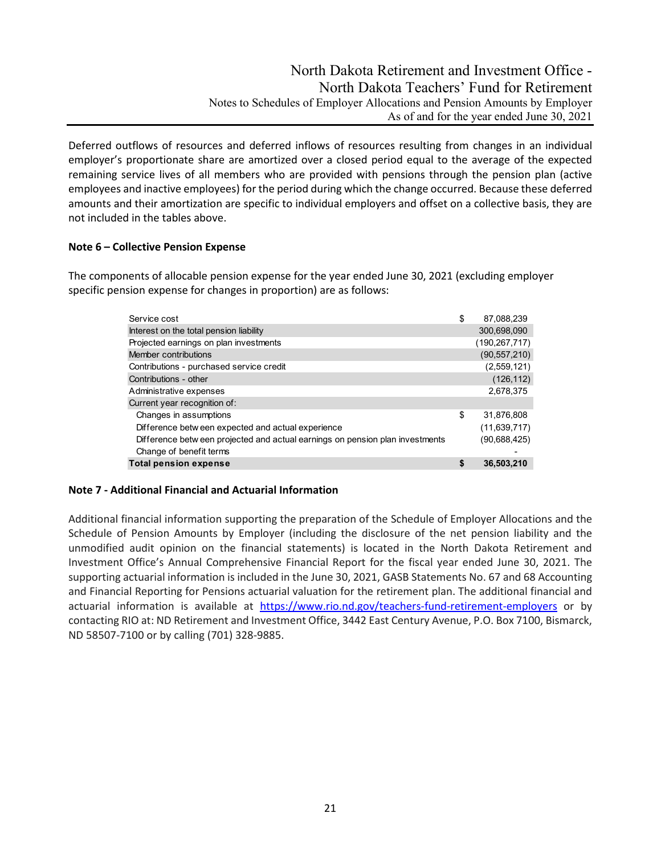# North Dakota Retirement and Investment Office - North Dakota Teachers' Fund for Retirement Notes to Schedules of Employer Allocations and Pension Amounts by Employer As of and for the year ended June 30, 2021

Deferred outflows of resources and deferred inflows of resources resulting from changes in an individual employer's proportionate share are amortized over a closed period equal to the average of the expected remaining service lives of all members who are provided with pensions through the pension plan (active employees and inactive employees) for the period during which the change occurred. Because these deferred amounts and their amortization are specific to individual employers and offset on a collective basis, they are not included in the tables above.

## **Note 6 – Collective Pension Expense**

The components of allocable pension expense for the year ended June 30, 2021 (excluding employer specific pension expense for changes in proportion) are as follows:

| Service cost                                                                  | \$<br>87,088,239 |
|-------------------------------------------------------------------------------|------------------|
| Interest on the total pension liability                                       | 300,698,090      |
| Projected earnings on plan investments                                        | (190, 267, 717)  |
| Member contributions                                                          | (90, 557, 210)   |
| Contributions - purchased service credit                                      | (2,559,121)      |
| Contributions - other                                                         | (126, 112)       |
| Administrative expenses                                                       | 2,678,375        |
| Current year recognition of:                                                  |                  |
| Changes in assumptions                                                        | \$<br>31,876,808 |
| Difference betw een expected and actual experience                            | (11, 639, 717)   |
| Difference betw een projected and actual earnings on pension plan investments | (90,688,425)     |
| Change of benefit terms                                                       |                  |
| <b>Total pension expense</b>                                                  | \$<br>36,503,210 |

#### **Note 7 - Additional Financial and Actuarial Information**

Additional financial information supporting the preparation of the Schedule of Employer Allocations and the Schedule of Pension Amounts by Employer (including the disclosure of the net pension liability and the unmodified audit opinion on the financial statements) is located in the North Dakota Retirement and Investment Office's Annual Comprehensive Financial Report for the fiscal year ended June 30, 2021. The supporting actuarial information is included in the June 30, 2021, GASB Statements No. 67 and 68 Accounting and Financial Reporting for Pensions actuarial valuation for the retirement plan. The additional financial and actuarial information is available at <https://www.rio.nd.gov/teachers-fund-retirement-employers> or by contacting RIO at: ND Retirement and Investment Office, 3442 East Century Avenue, P.O. Box 7100, Bismarck, ND 58507-7100 or by calling (701) 328-9885.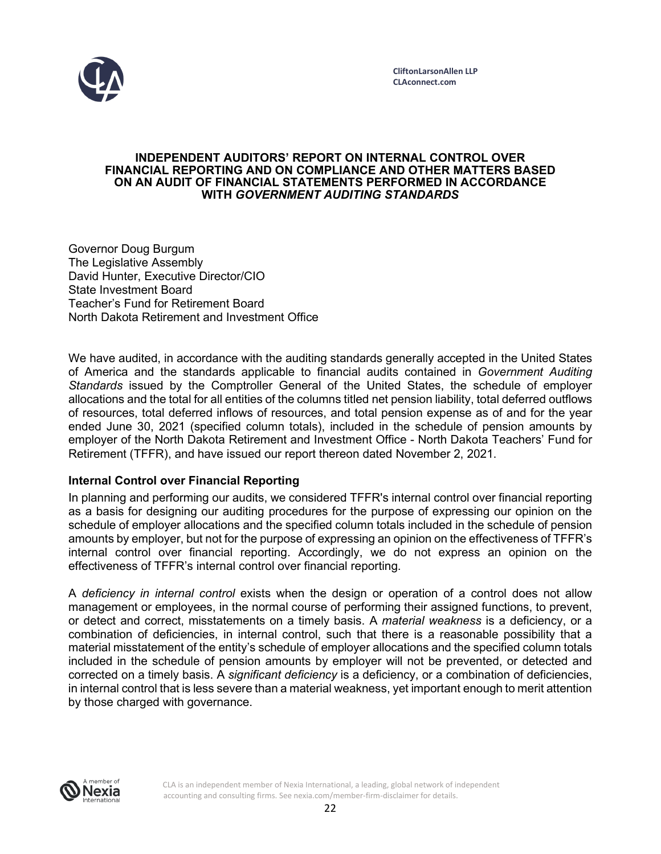

#### **INDEPENDENT AUDITORS' REPORT ON INTERNAL CONTROL OVER FINANCIAL REPORTING AND ON COMPLIANCE AND OTHER MATTERS BASED ON AN AUDIT OF FINANCIAL STATEMENTS PERFORMED IN ACCORDANCE WITH** *GOVERNMENT AUDITING STANDARDS*

Governor Doug Burgum The Legislative Assembly David Hunter, Executive Director/CIO State Investment Board Teacher's Fund for Retirement Board North Dakota Retirement and Investment Office

We have audited, in accordance with the auditing standards generally accepted in the United States of America and the standards applicable to financial audits contained in *Government Auditing Standards* issued by the Comptroller General of the United States, the schedule of employer allocations and the total for all entities of the columns titled net pension liability, total deferred outflows of resources, total deferred inflows of resources, and total pension expense as of and for the year ended June 30, 2021 (specified column totals), included in the schedule of pension amounts by employer of the North Dakota Retirement and Investment Office - North Dakota Teachers' Fund for Retirement (TFFR), and have issued our report thereon dated November 2, 2021.

## **Internal Control over Financial Reporting**

In planning and performing our audits, we considered TFFR's internal control over financial reporting as a basis for designing our auditing procedures for the purpose of expressing our opinion on the schedule of employer allocations and the specified column totals included in the schedule of pension amounts by employer, but not for the purpose of expressing an opinion on the effectiveness of TFFR's internal control over financial reporting. Accordingly, we do not express an opinion on the effectiveness of TFFR's internal control over financial reporting.

A *deficiency in internal control* exists when the design or operation of a control does not allow management or employees, in the normal course of performing their assigned functions, to prevent, or detect and correct, misstatements on a timely basis. A *material weakness* is a deficiency, or a combination of deficiencies, in internal control, such that there is a reasonable possibility that a material misstatement of the entity's schedule of employer allocations and the specified column totals included in the schedule of pension amounts by employer will not be prevented, or detected and corrected on a timely basis. A *significant deficiency* is a deficiency, or a combination of deficiencies, in internal control that is less severe than a material weakness, yet important enough to merit attention by those charged with governance.